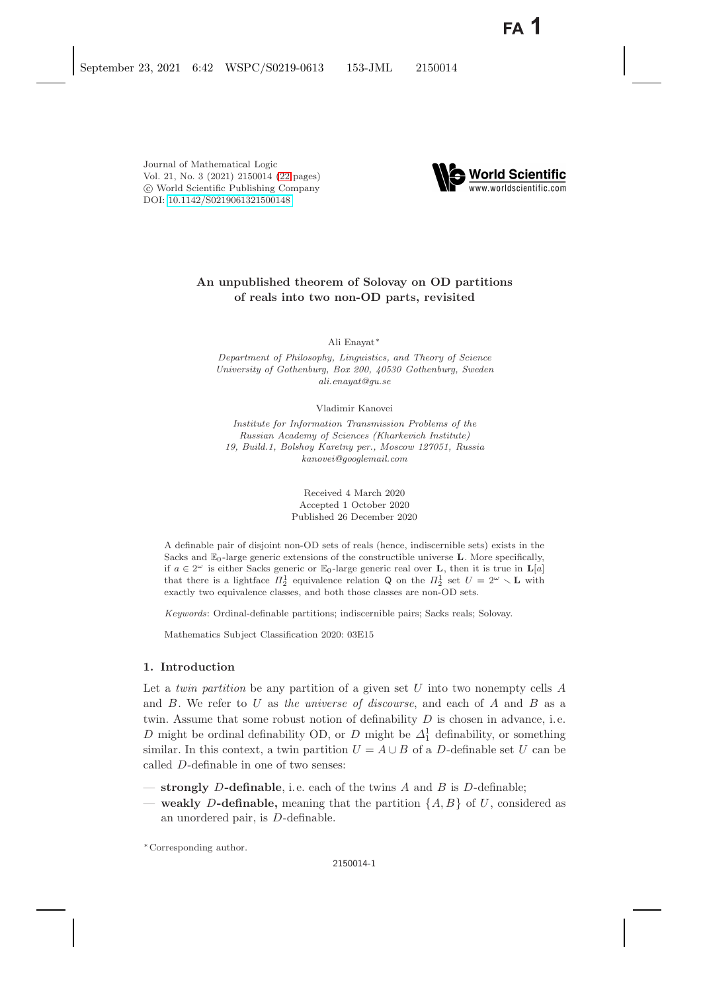

# **An unpublished theorem of Solovay on OD partitions of reals into two non-OD parts, revisited**

Ali Enayat∗

*Department of Philosophy, Linguistics, and Theory of Science University of Gothenburg, Box 200, 40530 Gothenburg, Sweden ali.enayat@gu.se*

Vladimir Kanovei

*Institute for Information Transmission Problems of the Russian Academy of Sciences (Kharkevich Institute) 19, Build.1, Bolshoy Karetny per., Moscow 127051, Russia kanovei@googlemail.com*

> Received 4 March 2020 Accepted 1 October 2020 Published 26 December 2020

A definable pair of disjoint non-OD sets of reals (hence, indiscernible sets) exists in the Sacks and  $\mathbb{E}_0$ -large generic extensions of the constructible universe **L**. More specifically, if  $a \in 2^{\omega}$  is either Sacks generic or  $\mathbb{E}_0$ -large generic real over **L**, then it is true in **L**[a] that there is a lightface  $\Pi_2^1$  equivalence relation Q on the  $\Pi_2^1$  set  $U = 2^{\omega} \setminus \mathbf{L}$  with exactly two equivalence classes, and both those classes are non-OD sets.

*Keywords*: Ordinal-definable partitions; indiscernible pairs; Sacks reals; Solovay.

Mathematics Subject Classification 2020: 03E15

# <span id="page-0-0"></span>**1. Introduction**

Let a *twin partition* be any partition of a given set U into two nonempty cells A and B. We refer to U as *the universe of discourse*, and each of A and B as a twin. Assume that some robust notion of definability  $D$  is chosen in advance, i.e. D might be ordinal definability OD, or D might be  $\Delta_1^1$  definability, or something<br>similar. In this context, a twin partition  $U = A \cup B$  of a D definable set U can be similar. In this context, a twin partition  $U = A \cup B$  of a D-definable set U can be called D-definable in one of two senses:

- **strongly** D**-definable**, i.e. each of the twins A and B is D-definable;
- **weakly** D**-definable,** meaning that the partition {A, B} of U, considered as an unordered pair, is D-definable.

∗Corresponding author.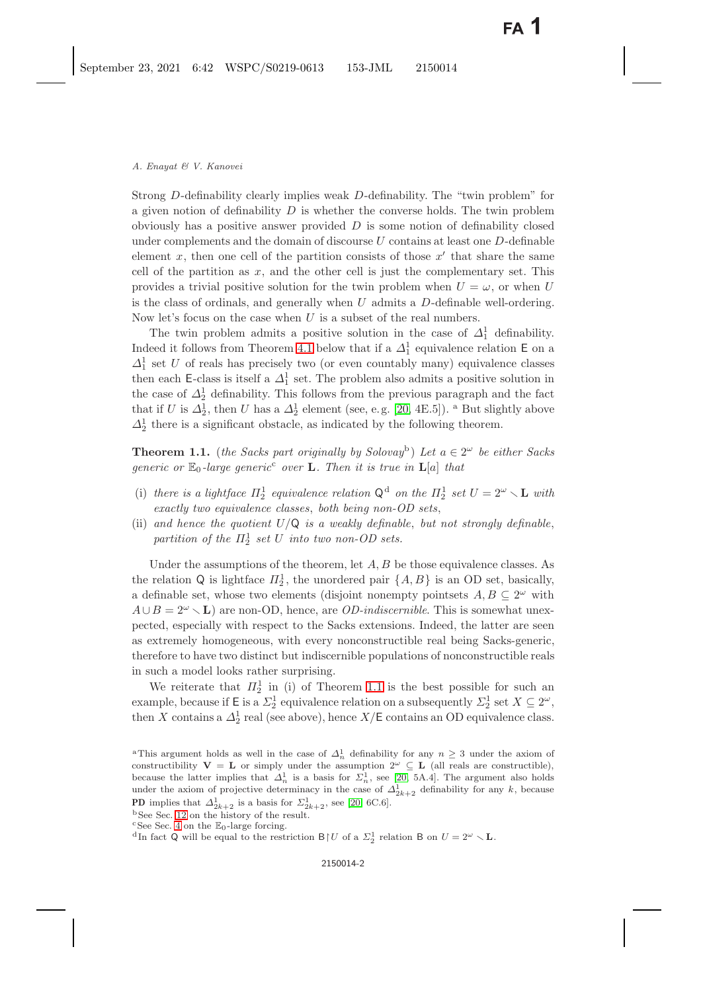Strong D-definability clearly implies weak D-definability. The "twin problem" for a given notion of definability  $D$  is whether the converse holds. The twin problem obviously has a positive answer provided  $D$  is some notion of definability closed under complements and the domain of discourse  $U$  contains at least one  $D$ -definable element x, then one cell of the partition consists of those  $x'$  that share the same<br>cell of the partition as  $x$  and the other cell is just the complementary set. This cell of the partition as  $x$ , and the other cell is just the complementary set. This provides a trivial positive solution for the twin problem when  $U = \omega$ , or when U is the class of ordinals, and generally when  $U$  admits a  $D$ -definable well-ordering. Now let's focus on the case when  $U$  is a subset of the real numbers.

The twin problem admits a positive solution in the case of  $\Delta_1^1$  definability. Indeed it follows from Theorem [4.1](#page-3-0) below that if a  $\Delta_1^1$  equivalence relation E on a  $\Delta_1^1$  equivalence relation E on a  $\Delta_1^1$  set U of reals has precisely two (or even countably many) equivalence classes<br>then each E class is itself a  $\Delta_1^1$  set. The problem also admits a positive solution in then each E-class is itself a  $\Delta_1^1$  set. The problem also admits a positive solution in<br>the gase of  $\Delta_1^1$  definability. This follows from the provious parameter and the fact the case of  $\Delta_2^1$  definability. This follows from the previous paragraph and the fact<br>that if  $U$  is  $\Delta_1^1$  then  $U$  has a  $\Delta_1^1$  element (see e.g. [20, 4E 5]), <sup>a</sup> But slightly above that if U is  $\Delta_2^1$ , then U has a  $\Delta_2^1$  element (see, e.g. [\[20,](#page-21-0) 4E.5]). <sup>a</sup> But slightly above  $\Delta_1^1$  there is a significant obstacle as indicated by the following theorem  $\Delta_2^1$  there is a significant obstacle, as indicated by the following theorem.

<span id="page-1-1"></span><span id="page-1-0"></span>**Theorem 1.1.** (*the Sacks part originally by Solovay*<sup>b</sup>) Let  $a \in 2^{\omega}$  be either Sacks *generic or*  $\mathbb{E}_0$ -*large generic*<sup>c</sup> *over* **L***. Then it is true in*  $\mathbf{L}[a]$  *that* 

- (i) there is a lightface  $\Pi_2^1$  equivalence relation  $Q^d$  on the  $\Pi_2^1$  set  $U = 2^\omega \setminus L$  with *exactly two equivalence classes*, *both being non-OD sets*,
- (ii) and hence the quotient  $U/Q$  is a weakly definable, but not strongly definable, partition of the  $\Pi_2^1$  set U into two non-OD sets.

Under the assumptions of the theorem, let  $A, B$  be those equivalence classes. As the relation Q is lightface  $\Pi_2^1$ , the unordered pair  $\{A, B\}$  is an OD set, basically, a definable set, whose two elements (disjoint nonempty pointsets  $A, B \subseteq 2^{\omega}$  with  $A \cup B = 2^{\omega} \setminus L$  are non-OD, hence, are *OD-indiscernible*. This is somewhat unex-<br>posted, expecially with respect to the Sacks extensions. Indeed, the latter are seen pected, especially with respect to the Sacks extensions. Indeed, the latter are seen as extremely homogeneous, with every nonconstructible real being Sacks-generic, therefore to have two distinct but indiscernible populations of nonconstructible reals in such a model looks rather surprising.

We reiterate that  $\Pi_2^1$  in (i) of Theorem [1.1](#page-1-0) is the best possible for such an exploration on a subsequently  $\Gamma^1$  set  $X \subseteq 2^{\omega}$ example, because if E is a  $\Sigma_2^1$  equivalence relation on a subsequently  $\Sigma_2^1$  set  $X \subseteq 2^\omega$ ,<br>then X sontains a  $A^1$  real (see above), bence  $X/\mathsf{E}$  sontains an OD sonivelance along then X contains a  $\Delta_2^1$  real (see above), hence  $X/\mathsf{E}$  contains an OD equivalence class.

<sup>&</sup>lt;sup>a</sup>This argument holds as well in the case of  $\Delta_n^1$  definability for any  $n \geq 3$  under the axiom of constructibility  $V = L$  or simply under the assumption  $2^{\omega} \subseteq L$  (all reals are constructible), because the latter implies that  $\Delta_n^1$  is a basis for  $\Sigma_n^1$ , see [\[20,](#page-21-0) 5A.4]. The argument also holds under the axiom of projective determinacy in the case of  $\Delta_{2k+2}^1$  definability for any k, because **PD** implies that  $\Delta_{2k+2}^1$  is a basis for  $\Sigma_{2k+2}^1$ , see [\[20,](#page-21-0) 6C.6]. bSee Sec. [12](#page-19-0) on the history of the result.

 $^{\rm b}$  See Sec. 12 on the history of the result.  $^{\rm c}$  See Sec. [4](#page-3-1) on the  $\mathbb{E}_0\text{-large forcing.}$ 

<sup>&</sup>lt;sup>d</sup>In fact Q will be equal to the restriction  $B \upharpoonright U$  of a  $\Sigma_2^1$  relation B on  $U = 2^{\omega} \setminus \mathbf{L}$ .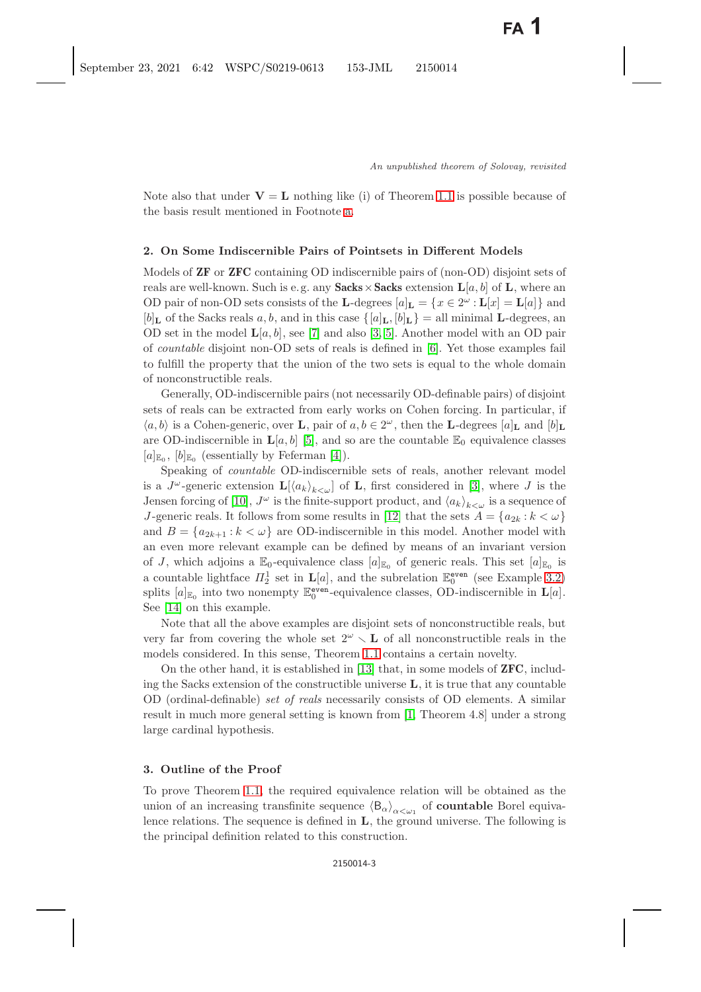Note also that under  $V = L$  nothing like (i) of Theorem [1.1](#page-1-1) is possible because of the basis result mentioned in Footnote [a.](#page-0-0)

# **2. On Some Indiscernible Pairs of Pointsets in Different Models**

Models of **ZF** or **ZFC** containing OD indiscernible pairs of (non-OD) disjoint sets of reals are well-known. Such is e.g. any **Sacks**  $\times$  **Sacks** extension  $\mathbf{L}[a, b]$  of  $\mathbf{L}$ , where an OD pair of non-OD sets consists of the **L**-degrees  $[a]_L = \{x \in 2^{\omega} : L[x] = L[a]\}\$  and  $[b]_L$  of the Sacks reals a, b, and in this case  $\{[a]_L, [b]_L\} = \text{all minimal } L$ -degrees, an OD set in the model  $\mathbf{L}[a, b]$ , see [\[7\]](#page-20-1) and also [\[3,](#page-20-2) [5\]](#page-20-3). Another model with an OD pair of *countable* disjoint non-OD sets of reals is defined in [\[6\]](#page-20-4). Yet those examples fail to fulfill the property that the union of the two sets is equal to the whole domain of nonconstructible reals.

Generally, OD-indiscernible pairs (not necessarily OD-definable pairs) of disjoint sets of reals can be extracted from early works on Cohen forcing. In particular, if  $\langle a, b \rangle$  is a Cohen-generic, over **L**, pair of  $a, b \in 2^{\omega}$ , then the **L**-degrees  $[a]_L$  and  $[b]_L$ are OD-indiscernible in  $\mathbf{L}[a, b]$  [\[5\]](#page-20-3), and so are the countable  $\mathbb{E}_0$  equivalence classes  $[a]_{\mathbb{E}_0}$ ,  $[b]_{\mathbb{E}_0}$  (essentially by Feferman [\[4\]](#page-20-5)).

Speaking of *countable* OD-indiscernible sets of reals, another relevant model is a  $J^{\omega}$ -generic extension  $\mathbf{L}[\langle a_k \rangle_{k \leq \omega}]$  of **L**, first considered in [\[3\]](#page-20-2), where J is the Jensen forcing of [\[10\]](#page-21-1),  $J^{\omega}$  is the finite-support product, and  $\langle a_k \rangle_{k<\omega}$  is a sequence of J-generic reals. It follows from some results in [\[12\]](#page-21-2) that the sets  $A = \{a_{2k} : k < \omega\}$ and  $B = \{a_{2k+1} : k < \omega\}$  are OD-indiscernible in this model. Another model with an even more relevant example can be defined by means of an invariant version of J, which adjoins a  $\mathbb{E}_0$ -equivalence class  $[a]_{\mathbb{E}_0}$  of generic reals. This set  $[a]_{\mathbb{E}_0}$  is a countable lightface  $\Pi_2^1$  set in  $\mathbf{L}[a]$ , and the subrelation  $\mathbb{E}_0^{\text{even}}$  (see Example [3.2\)](#page-3-2) splits  $[a]_{\mathbb{E}_0}$  into two nonempty  $\mathbb{E}_0^{\text{even}}$ -equivalence classes, OD-indiscernible in  $\mathbf{L}[a]$ .<br>See [14] on this example. See [\[14\]](#page-21-3) on this example.

Note that all the above examples are disjoint sets of nonconstructible reals, but very far from covering the whole set  $2^{\omega} \setminus L$  of all nonconstructible reals in the models considered. In this sense, Theorem [1.1](#page-1-1) contains a certain novelty.

On the other hand, it is established in [\[13\]](#page-21-4) that, in some models of **ZFC**, including the Sacks extension of the constructible universe **L**, it is true that any countable OD (ordinal-definable) *set of reals* necessarily consists of OD elements. A similar result in much more general setting is known from [\[1,](#page-20-6) Theorem 4.8] under a strong large cardinal hypothesis.

### **3. Outline of the Proof**

To prove Theorem [1.1,](#page-1-1) the required equivalence relation will be obtained as the union of an increasing transfinite sequence  $\langle B_{\alpha}\rangle_{\alpha<\omega_1}$  of **countable** Borel equivalence relations. The sequence is defined in **L**, the ground universe. The following is the principal definition related to this construction.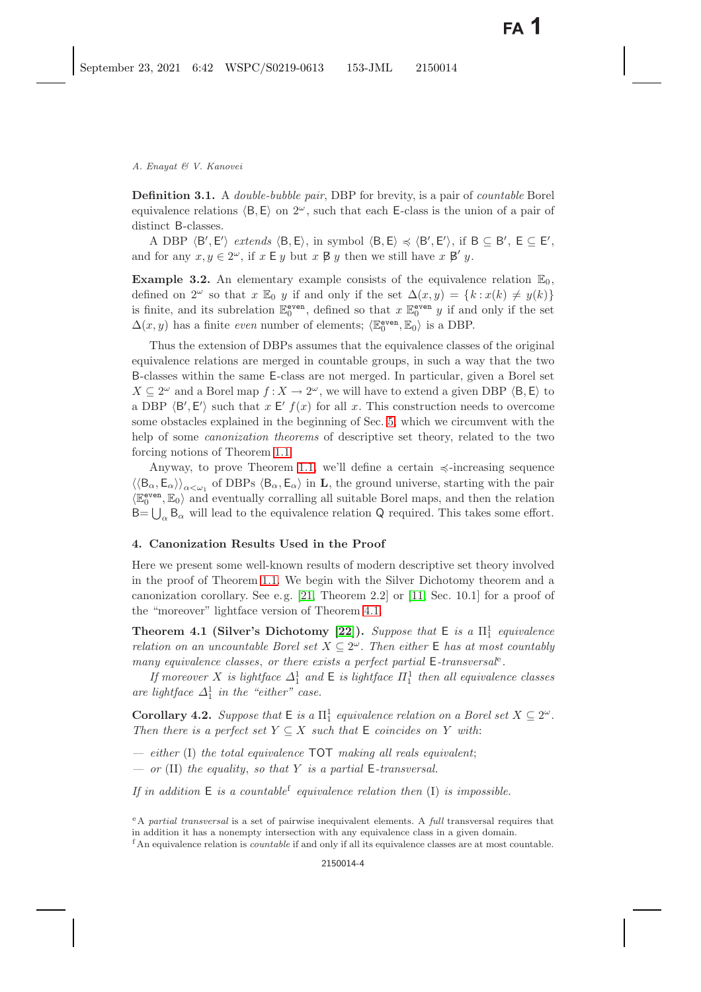<span id="page-3-6"></span>**Definition 3.1.** A *double-bubble pair*, DBP for brevity, is a pair of *countable* Borel equivalence relations  $\langle B, E \rangle$  on  $2^{\omega}$ , such that each E-class is the union of a pair of distinct B-classes.

A DBP  $\langle B', E' \rangle$  extends  $\langle B, E \rangle$ , in symbol  $\langle B, E \rangle \preccurlyeq \langle B', E' \rangle$ , if  $B \subseteq B'$ ,  $E \subseteq E'$ , <br>for any  $x, y \in 2^\omega$  if  $x \in y$  but  $x, B, y$  then we still have  $x, B', y$ and for any  $x, y \in 2^{\omega}$ , if  $x \in y$  but  $x \not\triangleright y$  then we still have  $x \not\triangleright y$ .

<span id="page-3-2"></span>**Example 3.2.** An elementary example consists of the equivalence relation  $\mathbb{E}_0$ , defined on  $2^{\omega}$  so that  $x \mathbb{E}_0$  y if and only if the set  $\Delta(x, y) = \{k : x(k) \neq y(k)\}\$ is finite, and its subrelation  $\mathbb{E}_{0}^{\text{even}}$ , defined so that  $x \mathbb{E}_{0}^{\text{even}} y$  if and only if the set  $\Delta(x, y)$  has a finite *even* number of elements;  $\langle \mathbb{E}_0^{\text{even}}, \mathbb{E}_0 \rangle$  is a DBP.

Thus the extension of DBPs assumes that the equivalence classes of the original equivalence relations are merged in countable groups, in such a way that the two B-classes within the same E-class are not merged. In particular, given a Borel set  $X \subseteq 2^{\omega}$  and a Borel map  $f : X \to 2^{\omega}$ , we will have to extend a given DBP  $\langle B, \mathsf{E} \rangle$  to a DBP  $\langle B', E' \rangle$  such that  $x \in f(x)$  for all  $x$ . This construction needs to overcome some obstacles explained in the beginning of Sec. [5,](#page-6-0) which we circumvent with the help of some *canonization theorems* of descriptive set theory, related to the two forcing notions of Theorem [1.1.](#page-1-0)

Anyway, to prove Theorem [1.1,](#page-1-0) we'll define a certain  $\preccurlyeq$ -increasing sequence  $\langle \langle B_{\alpha}, E_{\alpha} \rangle \rangle_{\alpha \leq \omega_1}$  of DBPs  $\langle B_{\alpha}, E_{\alpha} \rangle$  in **L**, the ground universe, starting with the pair  $\langle \mathbb{E}_0^{\text{even}}, \mathbb{E}_0 \rangle$  and eventually corralling all suitable Borel maps, and then the relation  $\Omega$  required. This takes some effort  $B = \bigcup_{\alpha} B_{\alpha}$  will lead to the equivalence relation Q required. This takes some effort.

# <span id="page-3-1"></span>**4. Canonization Results Used in the Proof**

Here we present some well-known results of modern descriptive set theory involved in the proof of Theorem [1.1.](#page-1-0) We begin with the Silver Dichotomy theorem and a canonization corollary. See e.g.  $[21,$  Theorem 2.2 or  $[11,$  Sec. 10.1 for a proof of the "moreover" lightface version of Theorem [4.1.](#page-3-0)

<span id="page-3-3"></span><span id="page-3-0"></span>**Theorem 4.1 (Silver's Dichotomy [\[22\]](#page-21-7)).** *Suppose that*  $E$  *is a*  $\Pi_1^1$  *equivalence relation on an uncountable Borel set*  $X \subseteq 2^{\omega}$ . *Then either* E *has at most countably many equivalence classes*, *or there exists a perfect partial* <sup>E</sup>*-transversal*<sup>e</sup>*.*

*If moreover* X *is lightface*  $\Delta_1^1$  *and* **E** *is lightface*  $\Pi_1^1$  *then all equivalence classes*<br>lightface  $\Delta_1^1$  in the "sither" gase are lightface  $\Delta_1^1$  in the "either" case.

<span id="page-3-5"></span><span id="page-3-4"></span>**Corollary 4.2.** *Suppose that*  $E$  *is a*  $\Pi_1^1$  *equivalence relation on a Borel set*  $X \subseteq 2^\omega$ .<br>Then there is a perfect set  $Y \subseteq Y$  such that  $E$  coincides an  $Y$  with *Then there is a perfect set*  $Y \subseteq X$  *such that*  $E$  *coincides on* Y *with:* 

*— either* (I) *the total equivalence* TOT *making all reals equivalent*;

*— or* (II) *the equality*, *so that* Y *is a partial* <sup>E</sup>*-transversal.*

*If in addition* E *is a countable*<sup>f</sup> *equivalence relation then* (I) *is impossible.*

<sup>e</sup>A *partial transversal* is a set of pairwise inequivalent elements. A *full* transversal requires that in addition it has a nonempty intersection with any equivalence class in a given domain.

<sup>f</sup> An equivalence relation is *countable* if and only if all its equivalence classes are at most countable.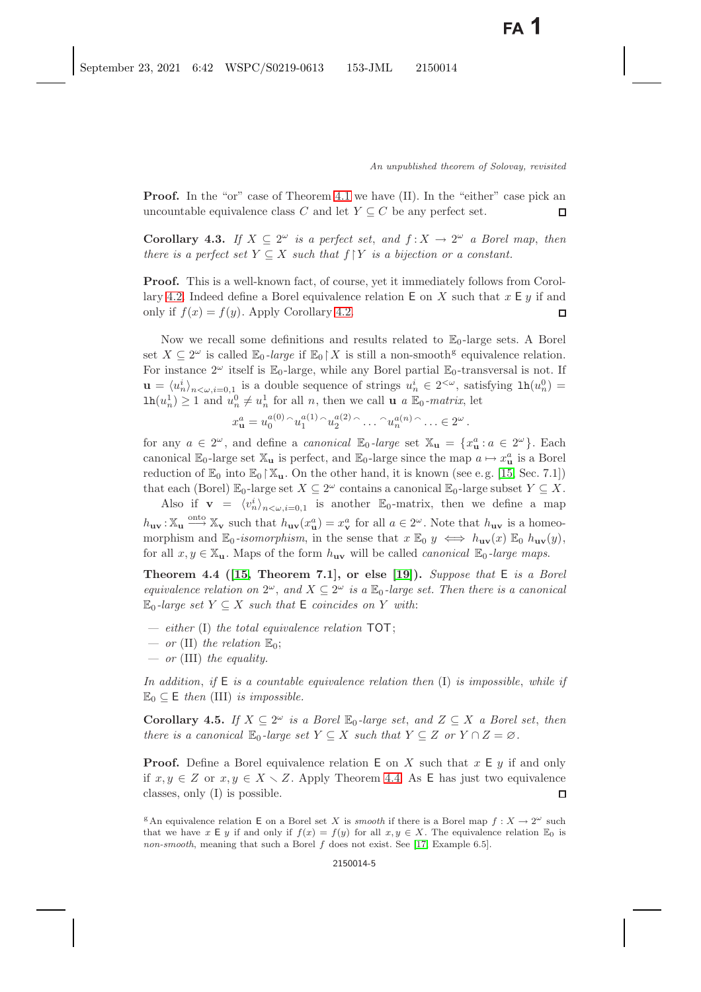**Proof.** In the "or" case of Theorem [4.1](#page-3-3) we have (II). In the "either" case pick an uncountable equivalence class C and let  $Y \subseteq C$  be any perfect set.  $\Box$ 

<span id="page-4-4"></span><span id="page-4-3"></span>**Corollary 4.3.** *If*  $X \subseteq 2^{\omega}$  *is a perfect set, and*  $f: X \to 2^{\omega}$  *a Borel map, then there is a perfect set*  $Y \subseteq X$  *such that*  $f \upharpoonright Y$  *is a bijection or a constant.* 

**Proof.** This is a well-known fact, of course, yet it immediately follows from Corol-lary [4.2.](#page-3-4) Indeed define a Borel equivalence relation **E** on *X* such that  $x \in y$  if and only if  $f(x) = f(y)$ . Apply Corollary 4.2. only if  $f(x) = f(y)$ . Apply Corollary [4.2.](#page-3-4)

Now we recall some definitions and results related to  $\mathbb{E}_0$ -large sets. A Borel set  $X \subseteq 2^{\omega}$  is called  $\mathbb{E}_0$ -large if  $\mathbb{E}_0 \upharpoonright X$  is still a non-smooth<sup>g</sup> equivalence relation. For instance  $2^{\omega}$  itself is  $\mathbb{E}_0$ -large, while any Borel partial  $\mathbb{E}_0$ -transversal is not. If  $\mathbf{u} = \langle u_n^i \rangle_{n \leq \omega, i=0,1}$  is a double sequence of strings  $u_n^i \in 2^{<\omega}$ , satisfying  $\ln(u_n^0) =$ <br> $\ln(\omega^1) > 1$  and  $\omega^0 \neq \omega^1$  for all n, then we call  $\mathbf{u} \in \mathbb{F}$ , matrix let  $\text{lh}(u_n^1) \geq 1$  and  $u_n^0 \neq u_n^1$  for all *n*, then we call **u** *a*  $\mathbb{E}_0$ -*matrix*, let

$$
x_{\mathbf{u}}^a = u_0^{a(0)} \cap u_1^{a(1)} \cap u_2^{a(2)} \cap \ldots \cap u_n^{a(n)} \cap \ldots \in 2^{\omega}.
$$

for any  $a \in 2^{\omega}$ , and define a *canonical*  $\mathbb{E}_0$ -large set  $\mathbb{X}_u = \{x_u^a : a \in 2^{\omega}\}\.$  Each canonical  $\mathbb{E}_v$  large set  $\mathbb{X}_v$  is perfect, and  $\mathbb{E}_v$  large since the man  $a \mapsto x^a$  is a Borol canonical  $\mathbb{E}_0$ -large set  $\mathbb{X}_u$  is perfect, and  $\mathbb{E}_0$ -large since the map  $a \mapsto x_u^a$  is a Borel<br>reduction of  $\mathbb{E}_v$  into  $\mathbb{E}_v \uparrow \mathbb{X}$ . On the other hand, it is known (see e.g. [15, See, 7.1]) reduction of  $\mathbb{E}_0$  into  $\mathbb{E}_0 \setminus \mathbb{X}_u$ . On the other hand, it is known (see e.g. [\[15,](#page-21-8) Sec. 7.1]) that each (Borel)  $\mathbb{E}_0$ -large set  $X \subseteq 2^\omega$  contains a canonical  $\mathbb{E}_0$ -large subset  $Y \subseteq X$ .

Also if  $\mathbf{v} = \langle v_n^i \rangle_{n < \omega, i=0,1}$  is another  $\mathbb{E}_0$ -matrix, then we define a map  $h_{\mathbf{u}\mathbf{v}} : \mathbb{X}_{\mathbf{u}} \stackrel{\text{onto}}{\longrightarrow} \mathbb{X}_{\mathbf{v}}$  such that  $h_{\mathbf{u}\mathbf{v}}(x_{\mathbf{u}}^a) = x_{\mathbf{v}}^a$  for all  $a \in 2^\omega$ . Note that  $h_{\mathbf{u}\mathbf{v}}$  is a homeo-<br>morphism and  $\mathbb{F}_v$  *isomorphism* in the same that  $x \mathbb{F}_v$ morphism and  $\mathbb{E}_0$ -isomorphism, in the sense that  $x \mathbb{E}_0$   $y \iff h_{\mathbf{uv}}(x) \mathbb{E}_0$   $h_{\mathbf{uv}}(y)$ , for all  $x, y \in \mathbb{X}_u$ . Maps of the form  $h_{uv}$  will be called *canonical*  $\mathbb{E}_0$ -large maps.

<span id="page-4-1"></span><span id="page-4-0"></span>**Theorem 4.4 ([\[15,](#page-21-8) Theorem 7.1], or else [\[19\]](#page-21-9)).** *Suppose that* E *is a Borel equivalence relation on*  $2^{\omega}$ , and  $X \subseteq 2^{\omega}$  *is a*  $\mathbb{E}_0$ -large set. Then there is a canonical  $\mathbb{E}_0$ -large set  $Y \subseteq X$  such that  $\mathsf{E}$  coincides on Y with:

- *either* (I) *the total equivalence relation* TOT;
- $-$  *or* (II) *the relation*  $\mathbb{E}_0$ ;
- *or* (III) *the equality.*

*In addition*, *if* <sup>E</sup> *is a countable equivalence relation then* (I) *is impossible*, *while if*  $\mathbb{E}_0 \subseteq \mathsf{E}$  then (III) *is impossible.* 

<span id="page-4-2"></span>**Corollary 4.5.** *If*  $X \subseteq 2^{\omega}$  *is a Borel*  $\mathbb{E}_0$ -*large set, and*  $Z \subseteq X$  *a Borel set, then there is a canonical*  $\mathbb{E}_0$ -*large set*  $Y \subseteq X$  *such that*  $Y \subseteq Z$  *or*  $Y \cap Z = \emptyset$ .

**Proof.** Define a Borel equivalence relation  $E$  on X such that  $x \in y$  if and only if  $x, y \in Z$  or  $x, y \in X \setminus Z$ . Apply Theorem [4.4.](#page-4-0) As **E** has just two equivalence classes, only (I) is possible.

<sup>g</sup>An equivalence relation E on a Borel set X is *smooth* if there is a Borel map  $f: X \to 2^{\omega}$  such that we have x E y if and only if  $f(x) = f(y)$  for all  $x, y \in X$ . The equivalence relation  $\mathbb{E}_0$  is *non-smooth*, meaning that such a Borel f does not exist. See [\[17,](#page-21-10) Example 6.5].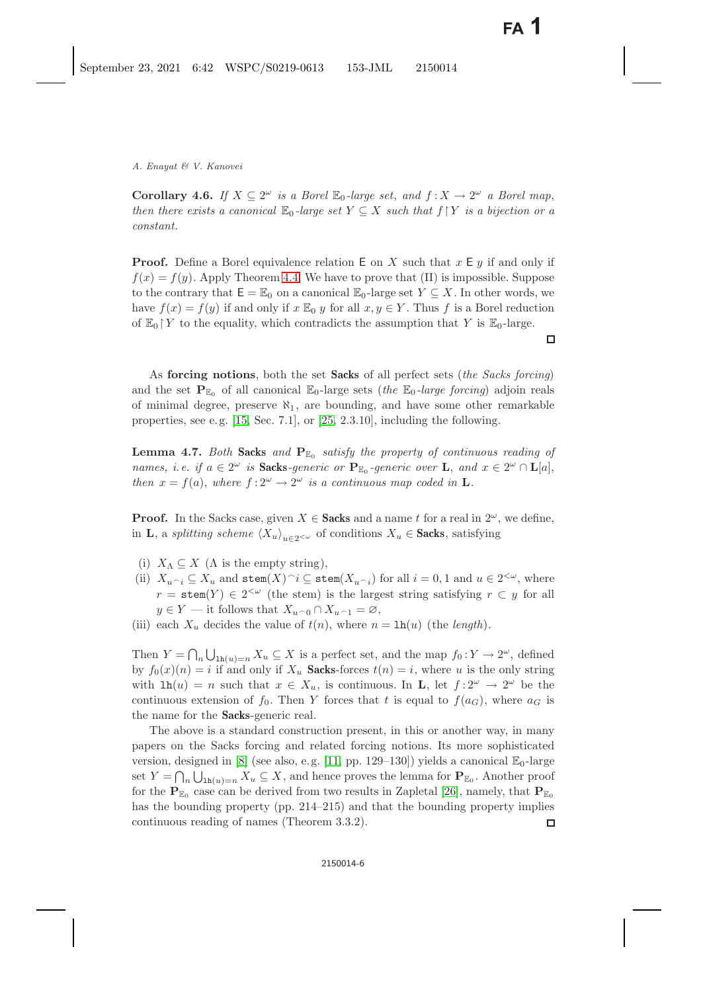<span id="page-5-1"></span>**Corollary 4.6.** *If*  $X \subseteq 2^{\omega}$  *is a Borel*  $\mathbb{E}_0$ *-large set, and*  $f : X \to 2^{\omega}$  *a Borel map, then there exists a canonical*  $\mathbb{E}_0$ -*large set*  $Y \subseteq X$  *such that*  $f \upharpoonright Y$  *is a bijection or a constant.*

**Proof.** Define a Borel equivalence relation E on X such that  $x \in y$  if and only if  $f(x) = f(y)$ . Apply Theorem [4.4.](#page-4-1) We have to prove that (II) is impossible. Suppose to the contrary that  $E = \mathbb{E}_0$  on a canonical  $\mathbb{E}_0$ -large set  $Y \subseteq X$ . In other words, we have  $f(x) = f(y)$  if and only if  $x \mathbb{E}_0 y$  for all  $x, y \in Y$ . Thus f is a Borel reduction of  $\mathbb{E}_0$  Y to the equality, which contradicts the assumption that Y is  $\mathbb{E}_0$ -large.

 $\Box$ 

As **forcing notions**, both the set **Sacks** of all perfect sets (*the Sacks forcing*) and the set  $\mathbf{P}_{\mathbb{E}_0}$  of all canonical  $\mathbb{E}_0$ -large sets (*the*  $\mathbb{E}_0$ -*large forcing*) adjoin reals of minimal degree, preserve  $\aleph_1$ , are bounding, and have some other remarkable properties, see e.g.  $[15, Sec. 7.1]$  $[15, Sec. 7.1]$ , or  $[25, 2.3.10]$  $[25, 2.3.10]$ , including the following.

<span id="page-5-0"></span>**Lemma 4.7.** *Both* **Sacks** *and*  $\mathbf{P}_{\text{E}_0}$  *satisfy the property of continuous reading of names, i.e. if*  $a \in 2^{\omega}$  *is* **Sacks***-generic or*  $\mathbf{P}_{\mathbb{E}_0}$ *-generic over* **L**, and  $x \in 2^{\omega} \cap \mathbf{L}[a]$ , *then*  $x = f(a)$ *, where*  $f: 2^{\omega} \to 2^{\omega}$  *is a continuous map coded in* **L***.* 

**Proof.** In the Sacks case, given  $X \in$  **Sacks** and a name t for a real in  $2^{\omega}$ , we define, in **L**, a *splitting scheme*  $\langle X_u \rangle_{u \in 2 \leq \omega}$  of conditions  $X_u \in$  **Sacks**, satisfying

- (i)  $X_{\Lambda} \subset X$  ( $\Lambda$  is the empty string),
- (ii)  $X_{u \cap i} \subseteq X_u$  and stem $(X) \cap i \subseteq$  stem $(X_{u \cap i})$  for all  $i = 0, 1$  and  $u \in 2^{<\omega}$ , where  $r = \text{stem}(Y) \in 2^{<\omega}$  (the stem) is the largest string satisfying  $r \subset y$  for all  $y \in Y$  — it follows that  $X_{u \cap 0} \cap X_{u \cap 1} = \emptyset$ ,<br>cook X docides the value of  $t(n)$ , where n
- (iii) each  $X_u$  decides the value of  $t(n)$ , where  $n = \ln(u)$  (the *length*).

Then  $Y = \bigcap_n \bigcup_{\text{lh}(u)=n} X_u \subseteq X$  is a perfect set, and the map  $f_0: Y \to 2^\omega$ , defined<br>by  $f_0(x)(x) = i$  if and only if Y. Socks forces  $f(x) = i$ , where u is the only string by  $f_0(x)(n) = i$  if and only if  $X_u$  **Sacks**-forces  $t(n) = i$ , where u is the only string with  $\text{lh}(u) = n$  such that  $x \in X_u$ , is continuous. In **L**, let  $f: 2^{\omega} \to 2^{\omega}$  be the continuous extension of  $f_0$ . Then Y forces that t is equal to  $f(a_G)$ , where  $a_G$  is the name for the **Sacks**-generic real.

The above is a standard construction present, in this or another way, in many papers on the Sacks forcing and related forcing notions. Its more sophisticated version, designed in [\[8\]](#page-20-7) (see also, e.g. [\[11,](#page-21-6) pp. 129–130]) yields a canonical  $\mathbb{E}_0$ -large set  $Y = \bigcap_n \bigcup_{\text{lh}(u)=n} X_u \subseteq X$ , and hence proves the lemma for  $\mathbf{P}_{\mathbb{E}_0}$ . Another proof for the  $P_{\mathbb{E}_0}$  case can be derived from two results in Zapletal [\[26\]](#page-21-13), namely, that  $P_{\mathbb{E}_0}$ has the bounding property (pp. 214–215) and that the bounding property implies continuous reading of names (Theorem 3.3.2). 口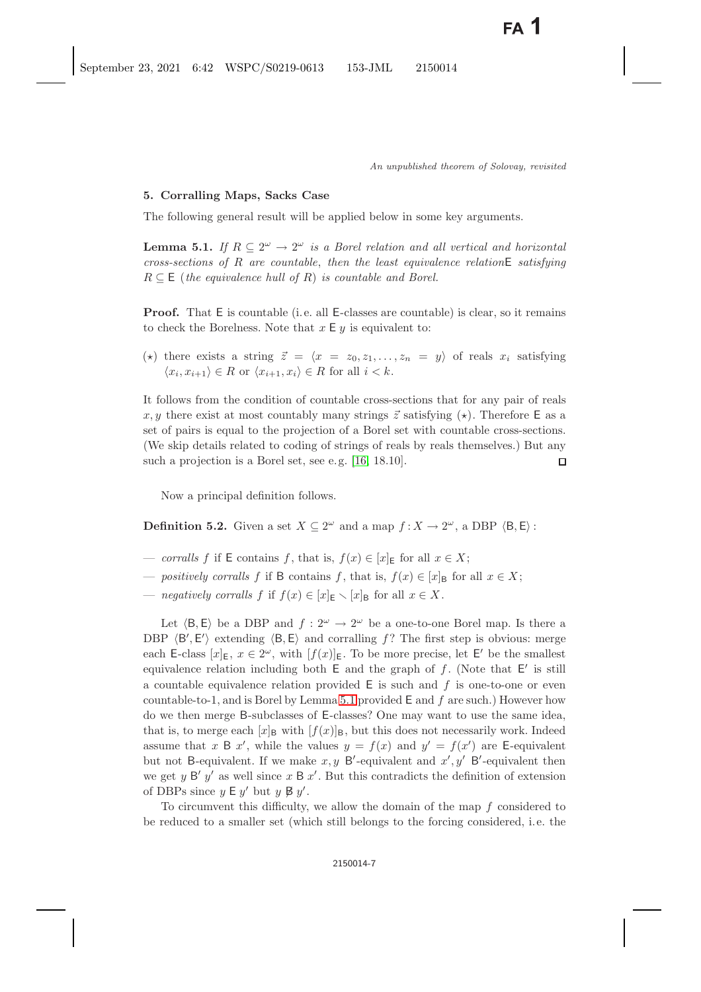# <span id="page-6-0"></span>**5. Corralling Maps, Sacks Case**

<span id="page-6-2"></span><span id="page-6-1"></span>The following general result will be applied below in some key arguments.

**Lemma 5.1.** *If*  $R \subseteq 2^{\omega} \rightarrow 2^{\omega}$  *is a Borel relation and all vertical and horizontal cross-sections of* R *are countable*, *then the least equivalence relation*<sup>E</sup> *satisfying*  $R \subseteq E$  (*the equivalence hull of R*) *is countable and Borel.* 

**Proof.** That  $E$  is countable (i.e. all  $E$ -classes are countable) is clear, so it remains to check the Borelness. Note that  $x \in y$  is equivalent to:

(\*) there exists a string  $\vec{z} = \langle x = z_0, z_1, \ldots, z_n = y \rangle$  of reals  $x_i$  satisfying  $\langle x_i, x_{i+1} \rangle \in R$  or  $\langle x_{i+1}, x_i \rangle \in R$  for all  $i < k$ .

It follows from the condition of countable cross-sections that for any pair of reals x, y there exist at most countably many strings  $\vec{z}$  satisfying  $(\star)$ . Therefore E as a set of pairs is equal to the projection of a Borel set with countable cross-sections. (We skip details related to coding of strings of reals by reals themselves.) But any such a projection is a Borel set, see e.g. [\[16,](#page-21-14) 18.10]. □

Now a principal definition follows.

**Definition 5.2.** Given a set  $X \subseteq 2^{\omega}$  and a map  $f : X \to 2^{\omega}$ , a DBP  $\langle B, E \rangle$ :

- *corralls* f if E contains f, that is,  $f(x) \in [x]_E$  for all  $x \in X$ ;
- *positively corralls* f if B contains f, that is,  $f(x) \in [x]_B$  for all  $x \in X$ ;
- *negatively corralls*  $f$  if  $f(x) \in [x]_E \setminus [x]_B$  for all  $x \in X$ .

Let  $\langle B, E \rangle$  be a DBP and  $f : 2^{\omega} \to 2^{\omega}$  be a one-to-one Borel map. Is there a DBP  $\langle B', E' \rangle$  extending  $\langle B, E \rangle$  and corralling f? The first step is obvious: merge<br>cash E along  $|x| = x \in 2^{\omega}$  with  $[f(x)] =$  To be more procise let  $F'$  be the smallest each E-class  $[x]_E, x \in 2^{\omega}$ , with  $[f(x)]_E$ . To be more precise, let E' be the smallest<br>conjugation is polytime both E and the graph of f. (Note that E' is still equivalence relation including both  $E$  and the graph of  $f$ . (Note that  $E'$  is still<br>a countable equivalence relation provided  $E$  is such and  $f$  is one to one or over a countable equivalence relation provided  $E$  is such and  $f$  is one-to-one or even countable-to-1, and is Borel by Lemma [5.1](#page-6-1) provided  $E$  and  $f$  are such.) However how do we then merge B-subclasses of E-classes? One may want to use the same idea, that is, to merge each  $[x]_B$  with  $[f(x)]_B$ , but this does not necessarily work. Indeed assume that x B x', while the values  $y = f(x)$  and  $y' = f(x')$  are E-equivalent<br>but not B conjuglent. If we make x u B' conjuglent and x' y' B' conjuglent than but not B-equivalent. If we make  $x, y$  B'-equivalent and  $x', y'$  B'-equivalent then<br>we get use  $B'$  at an uplatform  $B \times'$ . But this controllate the definition of extension we get y B' y' as well since x B x'. But this contradicts the definition of extension<br>of DBBs since  $u \in u'$  but  $u \notin u''$ of DBPs since  $y \in y'$  but  $y \not\in y'$ .<br>To give very this difficulty.

To circumvent this difficulty, we allow the domain of the map  $f$  considered to be reduced to a smaller set (which still belongs to the forcing considered, i.e. the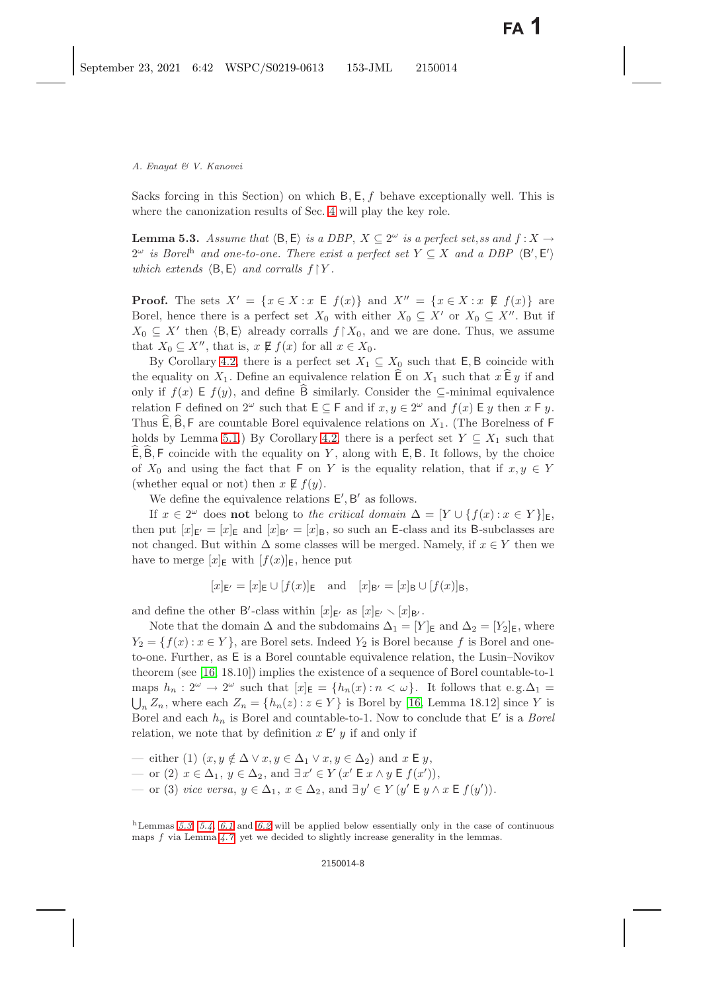<span id="page-7-1"></span><span id="page-7-0"></span>Sacks forcing in this Section) on which  $B, E, f$  behave exceptionally well. This is where the canonization results of Sec. [4](#page-3-1) will play the key role.

**Lemma 5.3.** *Assume that*  $\langle B, E \rangle$  *is a DBP*,  $X \subseteq 2^{\omega}$  *is a perfect set, ss and*  $f : X \rightarrow$  $2^{\omega}$  *is Borel*<sup>h</sup> and one-to-one. There exist a perfect set  $Y \subseteq X$  and a DBP  $\langle B', E' \rangle$ <br>subject order  $\langle B, E \rangle$  and corrells  $f \upharpoonright V$ *which extends*  $\langle B, E \rangle$  *and corralls*  $f \upharpoonright Y$ *.* 

**Proof.** The sets  $X' = \{x \in X : x \in f(x)\}$  and  $X'' = \{x \in X : x \notin f(x)\}$  are<br>Borol hance there is a perfect set  $X_2$  with either  $X_2 \subset X'$  or  $X_2 \subset X''$ . But if Borel, hence there is a perfect set  $X_0$  with either  $X_0 \subseteq X'$  or  $X_0 \subseteq X''$ . But if  $X_0 \subseteq Y'$  then  $\langle B, F \rangle$  already corrells  $f \upharpoonright X_0$  and we are done. Thus, we assume  $X_0 \subseteq X'$  then  $\langle B, E \rangle$  already corralls  $f \upharpoonright X_0$ , and we are done. Thus, we assume that  $X_1 \subset Y''$  that is  $x \notin f(x)$  for all  $x \in X$ . that  $X_0 \subseteq X''$ , that is,  $x \not\in f(x)$  for all  $x \in X_0$ .<br>By Corollary 4.2, there is a perfect set  $X_0$ .

By Corollary [4.2,](#page-3-5) there is a perfect set  $X_1 \subseteq X_0$  such that **E**, **B** coincide with the equality on  $X_1$ . Define an equivalence relation  $\overline{E}$  on  $X_1$  such that  $x \overline{E} y$  if and only if  $f(x) \to f(y)$ , and define B similarly. Consider the ⊆-minimal equivalence relation F defined on  $2^{\omega}$  such that  $E \subseteq F$  and if  $x, y \in 2^{\omega}$  and  $f(x) \to y$  then  $x \to y$ . Thus  $E, B, F$  are countable Borel equivalence relations on  $X_1$ . (The Borelness of F holds by Lemma [5.1.](#page-6-2)) By Corollary [4.2,](#page-3-5) there is a perfect set  $Y \subseteq X_1$  such that  $E, B, F$  coincide with the equality on Y, along with  $E, B$ . It follows, by the choice of  $X_0$  and using the fact that F on Y is the equality relation, that if  $x, y \in Y$ (whether equal or not) then  $x \not\in f(y)$ .

We define the equivalence relations  $E', B'$  as follows.<br>If  $x \in 2^{\omega}$  does not belong to the critical demain  $\Delta$ 

If  $x \in 2^{\omega}$  does **not** belong to the critical domain  $\Delta = [Y \cup \{f(x) : x \in Y\}]_E$ , then put  $[x]_{E'} = [x]_E$  and  $[x]_{B'} = [x]_B$ , so such an E-class and its B-subclasses are<br>not changed. But within A some classes will be marged. Namely, if  $x \in V$  then we not changed. But within  $\Delta$  some classes will be merged. Namely, if  $x \in Y$  then we have to merge  $[x]_E$  with  $[f(x)]_E$ , hence put

$$
[x]_{\mathsf{E'}} = [x]_{\mathsf{E}} \cup [f(x)]_{\mathsf{E}}
$$
 and  $[x]_{\mathsf{B'}} = [x]_{\mathsf{B}} \cup [f(x)]_{\mathsf{B}},$ 

and define the other B'-class within  $[x]_{E'}$  as  $[x]_{E'} \setminus [x]_{B'}$ .<br>Note that the domain A and the subdomains  $A_{\text{L}} = [X]_{B'}$ .

Note that the domain  $\Delta$  and the subdomains  $\Delta_1 = [Y]_E$  and  $\Delta_2 = [Y_2]_E$ , where  $Y_2 = \{f(x) : x \in Y\}$ , are Borel sets. Indeed  $Y_2$  is Borel because f is Borel and oneto-one. Further, as E is a Borel countable equivalence relation, the Lusin–Novikov theorem (see [\[16,](#page-21-15) 18.10]) implies the existence of a sequence of Borel countable-to-1 maps  $h_n: 2^{\omega} \to 2^{\omega}$  such that  $[x]_E = \{h_n(x): n < \omega\}$ . It follows that e.g.  $\Delta_1 =$  $\bigcup_n Z_n$ , where each  $Z_n = \{h_n(z) : z \in Y\}$  is Borel by [\[16,](#page-21-15) Lemma 18.12] since Y is Borel and each heat Borel and countable to 1. Now to conclude that  $E'$  is a Borel Borel and each  $h_n$  is Borel and countable-to-1. Now to conclude that  $E'$  is a *Borel*<br>relation we note that by definition  $x E'$  at if and only if relation, we note that by definition  $x \in Y$  if and only if

- either (1)  $(x, y \notin \Delta \lor x, y \in \Delta_1 \lor x, y \in \Delta_2)$  and  $x \in y$ ,
- or (2)  $x \in \Delta_1$ ,  $y \in \Delta_2$ , and  $\exists x' \in Y$  (x' E x ∧ y E  $f(x')$ ),<br>or (3) gives average  $y \in \Delta_1$ ,  $x \in \Delta_2$ , and  $\exists y' \in Y$  (o' E y  $\Delta_1$ )
- $-$  or (3) *vice versa*, *y* ∈ Δ<sub>1</sub>, *x* ∈ Δ<sub>2</sub>, and ∃*y'* ∈ *Y* (*y'* **E** *y* ∧ *x* **E** *f*(*y'*)).

<sup>h</sup>Lemmas *[5.3,](#page-7-0) [5.4,](#page-8-0) [6.1](#page-8-1)* and *[6.2](#page-9-0)* will be applied below essentially only in the case of continuous maps f via Lemma *[4.7,](#page-5-0)* yet we decided to slightly increase generality in the lemmas.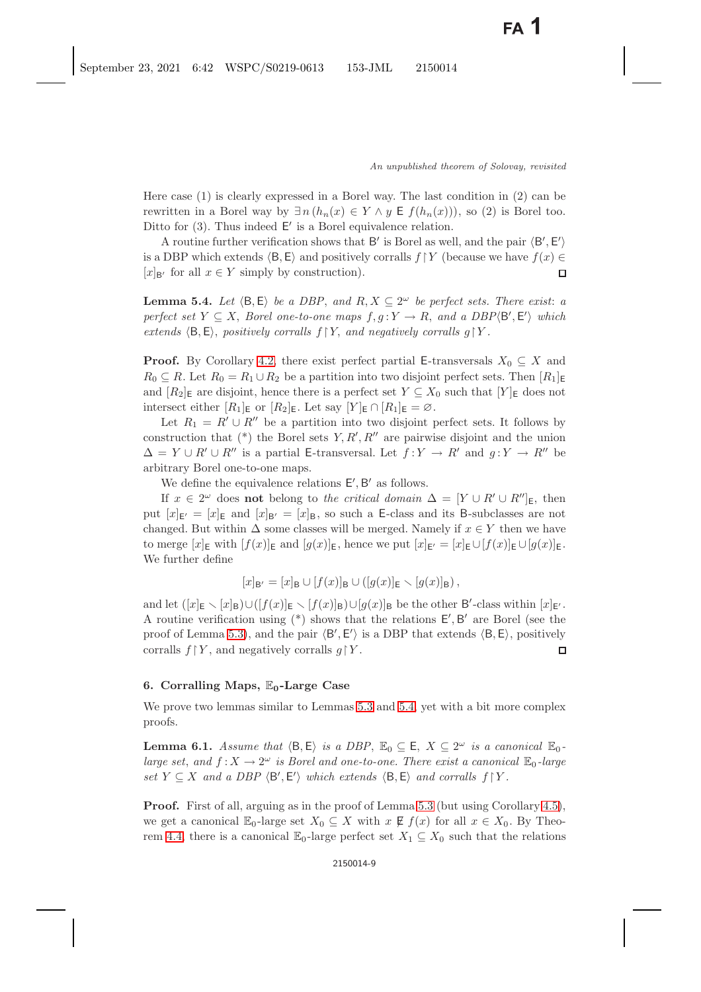Here case (1) is clearly expressed in a Borel way. The last condition in (2) can be rewritten in a Borel way by  $\exists n (h_n(x) \in Y \land y \in f(h_n(x)))$ , so (2) is Borel too. Ditto for  $(3)$ . Thus indeed  $E'$  is a Borel equivalence relation.

A routine further verification shows that B' is Borel as well, and the pair  $\langle B', E' \rangle$ <br>DBD which oxtonds  $\langle B, F \rangle$  and positively corrells  $f: V$  (because we have  $f(x) \subset$ is a DBP which extends  $\langle \mathsf{B}, \mathsf{E} \rangle$  and positively corralls  $f \upharpoonright Y$  (because we have  $f(x) \in [x]_{\mathsf{B}'}$  for all  $x \in Y$  simply by construction).  $[x]_{\mathsf{B}}$  for all  $x \in Y$  simply by construction).

<span id="page-8-2"></span><span id="page-8-0"></span>**Lemma 5.4.** *Let*  $\langle B, E \rangle$  *be a DBP*, and  $R, X \subseteq 2^{\omega}$  *be perfect sets. There exist: a perfect set*  $Y \subseteq X$ , *Borel one-to-one maps*  $f, g: Y \to R$ , and a *DBP* $\langle B', E' \rangle$  which<br>extends  $\langle B, F \rangle$  positively corralls  $f: Y$  and negatively corralls  $g \upharpoonright Y$ *extends*  $\langle B, E \rangle$ , *positively corralls*  $f \upharpoonright Y$ , *and negatively corralls*  $g \upharpoonright Y$ .

**Proof.** By Corollary [4.2,](#page-3-4) there exist perfect partial E-transversals  $X_0 \subseteq X$  and  $R_0 \subseteq R$ . Let  $R_0 = R_1 \cup R_2$  be a partition into two disjoint perfect sets. Then  $[R_1]_E$ and  $[R_2]_E$  are disjoint, hence there is a perfect set  $Y \subseteq X_0$  such that  $[Y]_E$  does not intersect either  $[R_1]_E$  or  $[R_2]_E$ . Let say  $[Y]_E \cap [R_1]_E = \emptyset$ .

Let  $R_1 = R' \cup R''$  be a partition into two disjoint perfect sets. It follows by struction that  $(*)$  the Borel sets  $V R' R''$  are pairwise disjoint and the union construction that (\*) the Borel sets  $Y, R', R''$  are pairwise disjoint and the union  $A = Y + P' + P''$  is a partial E transversal. Let  $f: Y \to P'$  and  $g: Y \to P''$  be  $\Delta = Y \cup R' \cup R''$  is a partial E-transversal. Let  $f: Y \to R'$  and  $g: Y \to R''$  be orbitrary Borol on to one maps arbitrary Borel one-to-one maps.

We define the equivalence relations  $E', B'$  as follows.<br>If  $x \in 2^{\omega}$  does not belong to the critical demain

If  $x \in 2^{\omega}$  does **not** belong to *the critical domain*  $\Delta = [Y \cup R' \cup R'']_E$ , then<br> $[w]_{\omega} = [x]_{\omega}$  and  $[x]_{\omega} = [x]_{\omega}$  so such a E glass and its B subglasses are not put  $[x]_{E'} = [x]_E$  and  $[x]_{B'} = [x]_B$ , so such a E-class and its B-subclasses are not<br>changed. But within  $\Delta$  some classes will be merged. Namely if  $x \in V$  then we have changed. But within  $\Delta$  some classes will be merged. Namely if  $x \in Y$  then we have to merge  $[x]_E$  with  $[f(x)]_E$  and  $[g(x)]_E$ , hence we put  $[x]_{E'} = [x]_E \cup [f(x)]_E \cup [g(x)]_E$ .<br>We further define We further define

$$
[x]_{\mathsf{B}'} = [x]_{\mathsf{B}} \cup [f(x)]_{\mathsf{B}} \cup ([g(x)]_{\mathsf{E}} \setminus [g(x)]_{\mathsf{B}}),
$$

and let  $([x]_E \setminus [x]_B) \cup ([f(x)]_E \setminus [f(x)]_B) \cup [g(x)]_B$  be the other B'-class within  $[x]_{E'}$ . A routine verification using (\*) shows that the relations  $E', B'$  are Borel (see the proof of Lamma 5.3), and the pair  $\langle B', E' \rangle$  is a DBB that extends  $\langle B, E \rangle$ , positively proof of Lemma [5.3\)](#page-7-1), and the pair  $\langle B, E \rangle$  is a DBP that extends  $\langle B, E \rangle$ , positively<br>corrells  $f!V$ , and positively corrells  $g!V$ corralls  $f \upharpoonright Y$ , and negatively corralls  $g \upharpoonright Y$ .

# **6. Corralling Maps,** E**0-Large Case**

<span id="page-8-3"></span><span id="page-8-1"></span>We prove two lemmas similar to Lemmas [5.3](#page-7-1) and [5.4,](#page-8-2) yet with a bit more complex proofs.

**Lemma 6.1.** *Assume that*  $\langle B, E \rangle$  *is a DBP*,  $\mathbb{E}_0 \subseteq E$ ,  $X \subseteq 2^\omega$  *is a canonical*  $\mathbb{E}_0$ *large set, and*  $f: X \to 2^{\omega}$  *is Borel and one-to-one. There exist a canonical*  $\mathbb{E}_0$ -*large*  $set Y \subseteq X$  and a DBP  $\langle B', E' \rangle$  which extends  $\langle B, E \rangle$  and corralls  $f \upharpoonright Y$ .

**Proof.** First of all, arguing as in the proof of Lemma [5.3](#page-7-1) (but using Corollary [4.5\)](#page-4-2), we get a canonical  $\mathbb{E}_0$ -large set  $X_0 \subseteq X$  with  $x \notin f(x)$  for all  $x \in X_0$ . By Theo-rem [4.4,](#page-4-0) there is a canonical  $\mathbb{E}_0$ -large perfect set  $X_1 \subseteq X_0$  such that the relations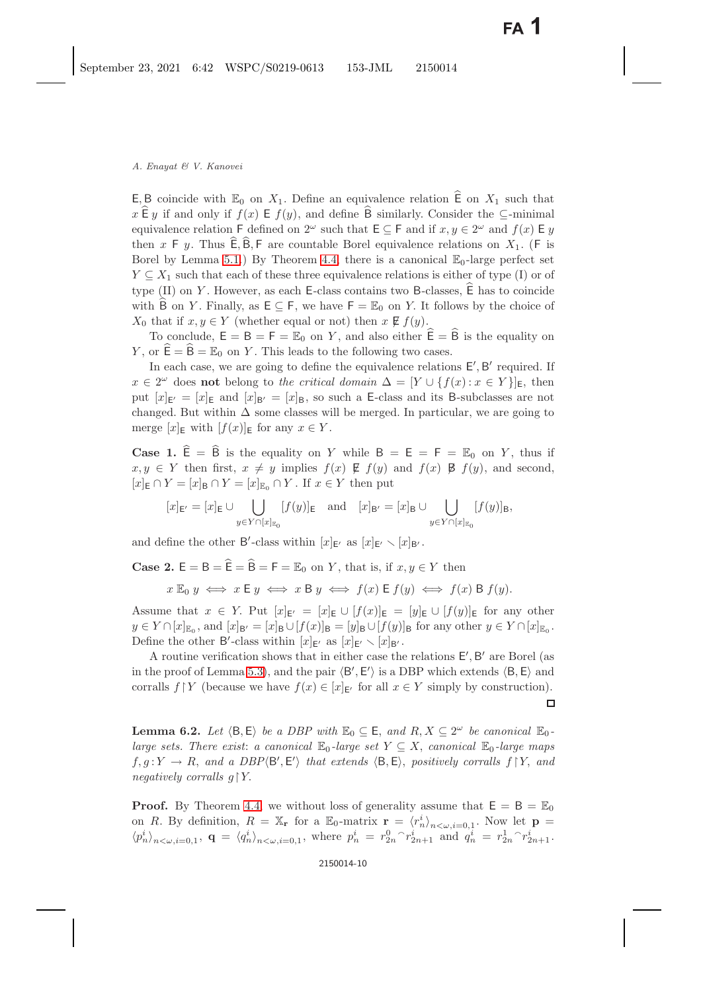E, B coincide with  $\mathbb{E}_0$  on  $X_1$ . Define an equivalence relation  $\mathbb{E}_0$  on  $X_1$  such that  $x \in y$  if and only if  $f(x) \in f(y)$ , and define  $\overline{B}$  similarly. Consider the  $\subseteq$ -minimal equivalence relation F defined on  $2^{\omega}$  such that  $E \subseteq F$  and if  $x, y \in 2^{\omega}$  and  $f(x) \to y$ then x F y. Thus  $\overline{E}, \overline{B}, \overline{F}$  are countable Borel equivalence relations on  $X_1$ . (F is Borel by Lemma [5.1.](#page-6-2)) By Theorem [4.4,](#page-4-1) there is a canonical  $\mathbb{E}_0$ -large perfect set  $Y \subseteq X_1$  such that each of these three equivalence relations is either of type (I) or of type  $(II)$  on Y. However, as each E-class contains two B-classes,  $\hat{E}$  has to coincide with B on Y. Finally, as  $E \subseteq F$ , we have  $F = \mathbb{E}_0$  on Y. It follows by the choice of  $X_0$  that if  $x, y \in Y$  (whether equal or not) then  $x \not\in f(y)$ .

To conclude,  $E = B = F = \mathbb{E}_0$  on Y, and also either  $\hat{E} = \hat{B}$  is the equality on Y, or  $\hat{\mathsf{E}} = \hat{\mathsf{B}} = \mathbb{E}_0$  on Y. This leads to the following two cases.

In each case, we are going to define the equivalence relations  $E', B'$  required. If  $x \in 2^{\omega}$  does **not** belong to *the critical domain*  $\Delta = [Y \cup \{f(x) : x \in Y\}]_E$ , then put  $[x]_{E'} = [x]_E$  and  $[x]_{B'} = [x]_B$ , so such a E-class and its B-subclasses are not<br>changed. But within A some classes will be marged. In particular, we are soing to changed. But within  $\Delta$  some classes will be merged. In particular, we are going to merge  $[x]_E$  with  $[f(x)]_E$  for any  $x \in Y$ .

**Case 1.**  $\hat{E} = \hat{B}$  is the equality on Y while  $B = E = F = \mathbb{E}_0$  on Y, thus if  $x, y \in Y$  then first,  $x \neq y$  implies  $f(x) \not\in f(y)$  and  $f(x) \not\in f(y)$ , and second,  $[x]_E \cap Y = [x]_B \cap Y = [x]_{E_0} \cap Y$ . If  $x \in Y$  then put

$$
[x]_{\mathsf{E}'}=[x]_{\mathsf{E}}\cup\bigcup_{y\in Y\cap [x]_{\mathbb{E}_0}}[f(y)]_{\mathsf{E}}\quad\text{and}\quad [x]_{\mathsf{B}'}=[x]_{\mathsf{B}}\cup\bigcup_{y\in Y\cap [x]_{\mathbb{E}_0}}[f(y)]_{\mathsf{B}},
$$

and define the other B'-class within  $[x]_{\mathsf{E'}}$  as  $[x]_{\mathsf{E'}} \setminus [x]_{\mathsf{B'}}$ .

**Case 2.**  $E = B = \hat{E} = \hat{B} = F = \mathbb{E}_0$  on Y, that is, if  $x, y \in Y$  then

$$
x \to y \iff x \in y \iff x \in y \iff f(x) \in f(y) \iff f(x) \in f(y).
$$

Assume that  $x \in Y$ . Put  $[x]_{\mathsf{E}'} = [x]_{\mathsf{E}} \cup [f(x)]_{\mathsf{E}} = [y]_{\mathsf{E}} \cup [f(y)]_{\mathsf{E}}$  for any other  $y \in Y \cap [x]_{\mathbb{E}_0}$ , and  $[x]_{\mathsf{B}'} = [x]_{\mathsf{B}} \cup [f(x)]_{\mathsf{B}} = [y]_{\mathsf{B}} \cup [f(y)]_{\mathsf{B}}$  for any other  $y \in Y \cap [x]_{\mathbb{E}_0}$ .<br>Define the other  $\mathsf{R}'$  close within  $[x]_{\mathbb{E}_0}$ , as  $[x]_{\mathbb{E}_0}$ . Define the other B'-class within  $[x]_{E'}$  as  $[x]_{E'} \setminus [x]_{B'}$ .<br>A pouting verification ghous that in either gase the

A routine verification shows that in either case the relations  $E', B'$  are Borel (as<br>he proof of Lemma 5.3), and the pair  $\langle B', E' \rangle$  is a DBP which extends  $\langle B, E \rangle$  and in the proof of Lemma [5.3\)](#page-7-0), and the pair  $\langle B', E' \rangle$  is a DBP which extends  $\langle B, E \rangle$  and<br>corrells  $f: V$  (because we have  $f(x) \in [x]_x$  for all  $x \in V$  simply by construction). corralls  $f \upharpoonright Y$  (because we have  $f(x) \in [x]_{E'}$  for all  $x \in Y$  simply by construction).

<span id="page-9-1"></span><span id="page-9-0"></span>**Lemma 6.2.** *Let*  $\langle B, E \rangle$  *be a DBP with*  $\mathbb{E}_0 \subseteq E$ , and  $R, X \subseteq 2^\omega$  *be canonical*  $\mathbb{E}_0$ *large sets. There exist: a canonical*  $\mathbb{E}_0$ *-large set*  $Y \subseteq X$ , *canonical*  $\mathbb{E}_0$ *-large maps*  $f, g: Y \to R$ , and a *DBP* $\langle B', E' \rangle$  that extends  $\langle B, E \rangle$ , positively corralls  $f \upharpoonright Y$ , and<br>positively corralls of V *negatively corralls*  $q \upharpoonright Y$ .

**Proof.** By Theorem [4.4,](#page-4-1) we without loss of generality assume that  $E = B = \mathbb{E}_0$ on R. By definition,  $R = \mathbb{X}_{\mathbf{r}}$  for a  $\mathbb{E}_{0}$ -matrix  $\mathbf{r} = \langle r_{n}^{i} \rangle_{n \leq \omega, i=0,1}$ . Now let  $\mathbf{p} = \langle r_{n}^{i} \rangle$  $\langle p_n^i \rangle_{n < \omega, i=0,1}, \; \mathbf{q} = \langle q_n^i \rangle_{n < \omega, i=0,1}, \; \text{where} \; p_n^i = r_{2n}^0 \, \gamma_{2n+1}^i \; \text{and} \; q_n^i = r_{2n}^1 \, \gamma_{2n+1}^i.$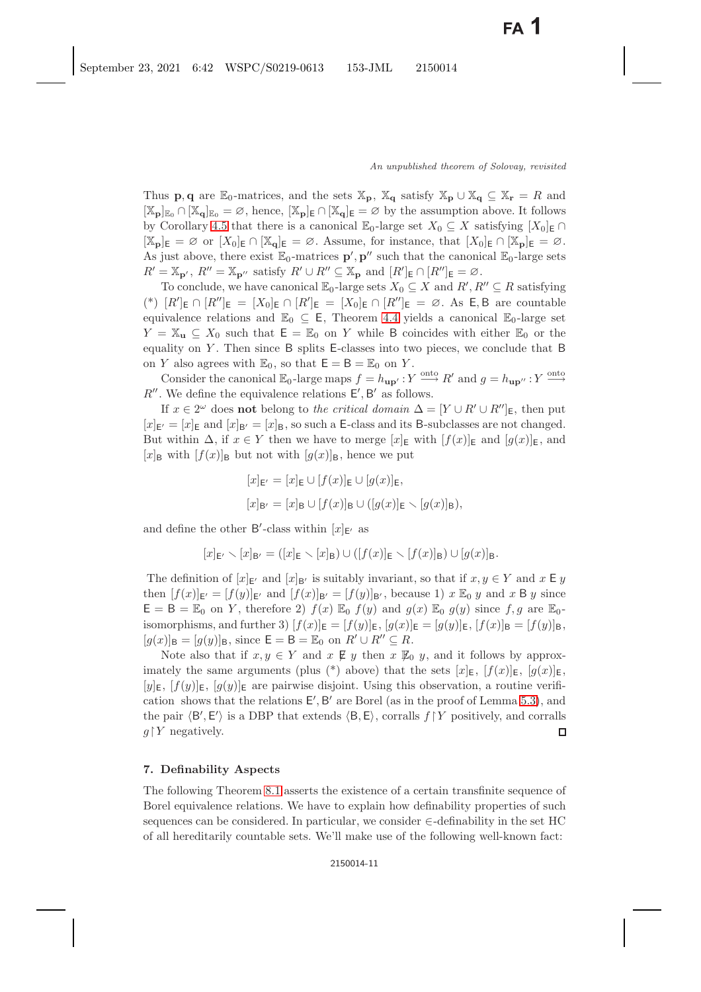Thus **p**, **q** are  $\mathbb{E}_0$ -matrices, and the sets  $\mathbb{X}_p$ ,  $\mathbb{X}_q$  satisfy  $\mathbb{X}_p \cup \mathbb{X}_q \subseteq \mathbb{X}_r = R$  and  $[\mathbb{X}_{p}]_{\mathbb{E}_{0}} \cap [\mathbb{X}_{q}]_{\mathbb{E}_{0}} = \varnothing$ , hence,  $[\mathbb{X}_{p}]_{\mathsf{E}} \cap [\mathbb{X}_{q}]_{\mathsf{E}} = \varnothing$  by the assumption above. It follows by Corollary [4.5](#page-4-2) that there is a canonical  $\mathbb{E}_0$ -large set  $X_0 \subseteq X$  satisfying  $[X_0]_E \cap$  $[X_{p}]_{E} = \emptyset$  or  $[X_{0}]_{E} \cap [X_{q}]_{E} = \emptyset$ . Assume, for instance, that  $[X_{0}]_{E} \cap [X_{p}]_{E} = \emptyset$ . As just above, there exist  $\mathbb{E}_0$ -matrices **p**', **p''** such that the canonical  $\mathbb{E}_0$ -large sets  $P' = \mathbb{X}$   $\cdot$   $P'' = \mathbb{X}$   $\cdot$  satisfy  $P' \cup P'' \subset \mathbb{X}$  and  $[R']_P \cap [R'']_P = \emptyset$  $R' = \mathbb{X}_{\mathbf{p}'}, R'' = \mathbb{X}_{\mathbf{p}''}$  satisfy  $R' \cup R'' \subseteq \mathbb{X}_{\mathbf{p}}$  and  $[R']_{\mathsf{E}} \cap [R'']_{\mathsf{E}} = \emptyset$ .<br>To conclude we have enomical  $\mathbb{F}_\varepsilon$  large sets  $Y_\varepsilon \subset Y$  and  $R' \subset R$ .

To conclude, we have canonical  $\mathbb{E}_0$ -large sets  $X_0 \subseteq X$  and  $R', R'' \subseteq R$  satisfying<br> $[R'] = \cap [R''] = \cap [R'] = \cap [R''] = \cap [R''] = \cap [R''] = \cap \cap [R''] = \cap \cap \{R\}$ (\*)  $[R']_\text{E} \cap [R'']_\text{E} = [X_0]_\text{E} \cap [R']_\text{E} = [X_0]_\text{E} \cap [R'']_\text{E} = \varnothing$ . As E, B are countable<br>countables relations and  $\mathbb{F}_\text{E} \subset \mathbb{F}$ . Theorem 4.4 violds a separical  $\mathbb{F}_\text{E}$  large set equivalence relations and  $\mathbb{E}_0 \subseteq \mathsf{E}$ , Theorem [4.4](#page-4-0) yields a canonical  $\mathbb{E}_0$ -large set  $Y = \mathbb{X}_{\mathbf{u}} \subseteq X_0$  such that  $\mathsf{E} = \mathbb{E}_0$  on Y while B coincides with either  $\mathbb{E}_0$  or the equality on  $Y$ . Then since  $B$  splits E-classes into two pieces, we conclude that  $B$ on Y also agrees with  $\mathbb{E}_0$ , so that  $\mathsf{E} = \mathsf{B} = \mathbb{E}_0$  on Y.

Consider the canonical  $\mathbb{E}_0$ -large maps  $f = h_{\mathbf{up'}} : Y \xrightarrow{\text{onto}} R'$  and  $g = h_{\mathbf{up''}} : Y \xrightarrow{\text{onto}}$ <br>We define the equivalence relations  $F'$   $R'$  as follows R''. We define the equivalence relations  $E', B'$  as follows.<br>If  $x \in 2^\omega$  does not belong to the critical demain  $\Delta$ 

If  $x \in 2^{\omega}$  does **not** belong to *the critical domain*  $\Delta = [Y \cup R' \cup R'']_E$ , then put  $\omega = [x]_E$  and  $[x]_E = [x]_E$  so such a E class and its B subclasses are not changed  $[x]_{E'} = [x]_E$  and  $[x]_{B'} = [x]_B$ , so such a E-class and its B-subclasses are not changed.<br>But within  $\Delta$  if  $x \in V$  then we have to marge  $[x]_E$  with  $[f(x)]_E$  and  $[x(x)]_E$  and But within  $\Delta$ , if  $x \in Y$  then we have to merge  $[x]_E$  with  $[f(x)]_E$  and  $[g(x)]_E$ , and  $[x]_B$  with  $[f(x)]_B$  but not with  $[g(x)]_B$ , hence we put

$$
[x]_{\mathsf{E}'} = [x]_{\mathsf{E}} \cup [f(x)]_{\mathsf{E}} \cup [g(x)]_{\mathsf{E}},
$$
  

$$
[x]_{\mathsf{B}'} = [x]_{\mathsf{B}} \cup [f(x)]_{\mathsf{B}} \cup ([g(x)]_{\mathsf{E}} \setminus [g(x)]_{\mathsf{B}}),
$$

and define the other B'-class within  $[x]_{E'}$  as

$$
[x]_{\mathsf{E}'} \setminus [x]_{\mathsf{B}'} = ([x]_{\mathsf{E}} \setminus [x]_{\mathsf{B}}) \cup ([f(x)]_{\mathsf{E}} \setminus [f(x)]_{\mathsf{B}}) \cup [g(x)]_{\mathsf{B}}.
$$

The definition of  $[x]_{E'}$  and  $[x]_{B'}$  is suitably invariant, so that if  $x, y \in Y$  and  $x \in y$ <br>bon  $[f(x)]_{\infty} = [f(x)]_{\infty} = [f(x)]_{\infty} = [f(x)]_{\infty}$  because 1)  $x \mathbb{R}_x y$  and  $x \mathbb{R}_y$  since then  $[f(x)]_{\mathsf{E}'} = [f(y)]_{\mathsf{E}'}$  and  $[f(x)]_{\mathsf{B}'} = [f(y)]_{\mathsf{B}'}$ , because 1)  $x \mathbb{E}_0 y$  and  $x \mathsf{B} y$  since  $\mathsf{E} - \mathsf{B} - \mathbb{F}_1$  on  $Y$ , therefore 2)  $f(x) \mathbb{E}_x f(y)$  and  $g(x) \mathbb{E}_x g(y)$  since  $f$  a are  $\mathbb{F}_x$ .  $E = B = \mathbb{E}_0$  on Y, therefore 2)  $f(x) \mathbb{E}_0 f(y)$  and  $g(x) \mathbb{E}_0 g(y)$  since  $f, g$  are  $\mathbb{E}_0$ isomorphisms, and further 3)  $[f(x)]_E = [f(y)]_E$ ,  $[g(x)]_E = [g(y)]_E$ ,  $[f(x)]_B = [f(y)]_B$ ,  $[g(x)]_B = [g(y)]_B$ , since  $E = B = \mathbb{E}_0$  on  $R' \cup R'' \subseteq R$ .<br>Note also that if  $x, y \in Y$  and  $x, \mathbb{E}_x y$  than  $x, \mathbb{E}_x$ .

Note also that if  $x, y \in Y$  and  $x \notin y$  then  $x \notin y$ , and it follows by approximately the same arguments (plus (\*) above) that the sets  $[x]_E$ ,  $[f(x)]_E$ ,  $[g(x)]_E$ ,  $[y]_E$ ,  $[f(y)]_E$ ,  $[g(y)]_E$  are pairwise disjoint. Using this observation, a routine verification shows that the relations  $E', B'$  are Borel (as in the proof of Lemma [5.3\)](#page-7-1), and<br>the pair  $\langle B', E' \rangle$  is a DBB that extends  $\langle B, E \rangle$  corrells  $f \upharpoonright V$  positively and correlle the pair  $\langle B, E \rangle$  is a DBP that extends  $\langle B, E \rangle$ , corralls  $f \upharpoonright Y$  positively, and corralls  $\mathcal{L}^{\dagger}$  positively  $g \upharpoonright Y$  negatively.

# <span id="page-10-0"></span>**7. Definability Aspects**

The following Theorem [8.1](#page-12-0) asserts the existence of a certain transfinite sequence of Borel equivalence relations. We have to explain how definability properties of such sequences can be considered. In particular, we consider ∈-definability in the set HC of all hereditarily countable sets. We'll make use of the following well-known fact: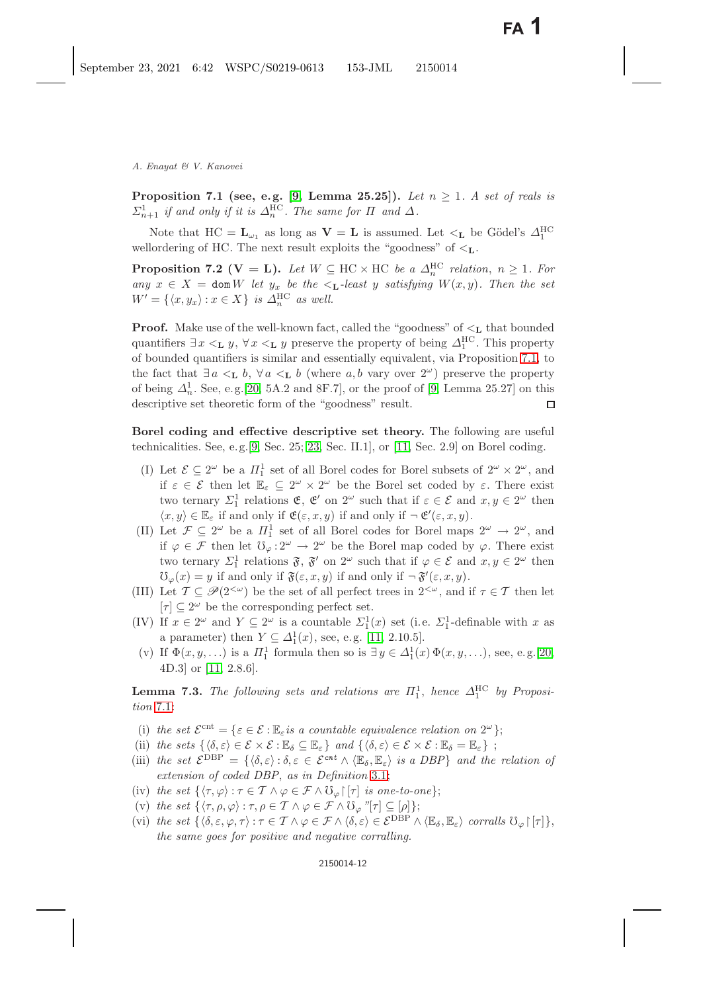<span id="page-11-0"></span>**Proposition 7.1 (see, e.g. [\[9,](#page-21-16) Lemma 25.25]).** *Let*  $n \geq 1$ . *A set of reals is*  $\Sigma_{n+1}^1$  *if and only if it is*  $\Delta_n^{\text{HC}}$ *. The same for*  $\Pi$  *and*  $\Delta$ *.* 

<span id="page-11-3"></span><span id="page-11-1"></span>Note that  $HC = L_{\omega_1}$  as long as  $V = L$  is assumed. Let  $\lt_L$  be Gödel's  $\Delta_1^{HC}$ wellordering of HC. The next result exploits the "goodness" of <**L**.

**Proposition 7.2 (V = L).** Let  $W \subseteq \text{HC} \times \text{HC}$  be a  $\Delta_n^{\text{HC}}$  relation,  $n \geq 1$ . For *any*  $x \in X$  = **dom** *W let*  $y_x$  *be the* <**L**-least y *satisfying W*(*x, y*)*. Then the set*  $W' = \{ \langle x, y_x \rangle : x \in X \}$  *is*  $\Delta_n^{\text{HC}}$  *as well.* 

**Proof.** Make use of the well-known fact, called the "goodness" of  $\lt_L$  that bounded quantifiers  $\exists x \leq_L y$ ,  $\forall x \leq_L y$  preserve the property of being  $\Delta_I^{\text{HC}}$ . This property of bounded quantifiers is similar and essentially equivalent via Proposition 7.1, to of bounded quantifiers is similar and essentially equivalent, via Proposition [7.1,](#page-11-0) to the fact that  $\exists a <_{\mathbf{L}} b, \forall a <_{\mathbf{L}} b$  (where a, b vary over  $2^{\omega}$ ) preserve the property of being  $\Delta_n^1$ . See, e.g. [\[20,](#page-21-0) 5A.2 and 8F.7], or the proof of [\[9,](#page-21-16) Lemma 25.27] on this descriptive set theoretic form of the "goodness" result descriptive set theoretic form of the "goodness" result.  $\Box$ 

**Borel coding and effective descriptive set theory.** The following are useful technicalities. See, e.g.  $[9, \text{Sec. 25; 23, Sec. II.1}]$  $[9, \text{Sec. 25; 23, Sec. II.1}]$  $[9, \text{Sec. 25; 23, Sec. II.1}]$  $[9, \text{Sec. 25; 23, Sec. II.1}]$ , or  $[11, \text{Sec. 2.9}]$  $[11, \text{Sec. 2.9}]$  on Borel coding.

- (I) Let  $\mathcal{E} \subseteq 2^{\omega}$  be a  $\Pi_1^1$  set of all Borel codes for Borel subsets of  $2^{\omega} \times 2^{\omega}$ , and<br>if  $\epsilon \in \mathcal{E}$  then let  $\mathbb{F} \subseteq 2^{\omega} \times 2^{\omega}$  be the Borel set goded by  $\epsilon$ . There exist if  $\varepsilon \in \mathcal{E}$  then let  $\mathbb{E}_{\varepsilon} \subseteq 2^{\omega} \times 2^{\omega}$  be the Borel set coded by  $\varepsilon$ . There exist two ternary  $\Sigma_1^1$  relations  $\mathfrak{E}, \mathfrak{E}'$  on  $2^{\omega}$  such that if  $\varepsilon \in \mathcal{E}$  and  $x, y \in 2^{\omega}$  then  $(x, y) \in \mathbb{F}$  if and only if  $\mathfrak{g}(\varepsilon, x, y)$  if and only if  $-\mathfrak{g}'(\varepsilon, x, y)$  $\langle x, y \rangle \in \mathbb{E}_{\varepsilon}$  if and only if  $\mathfrak{E}(\varepsilon, x, y)$  if and only if  $\neg \mathfrak{E}'(\varepsilon, x, y)$ .<br>Let  $\mathcal{F} \subset 2^\omega$  be a  $H^1$  set of all Borel godes for Borel mappe
- (II) Let  $\mathcal{F} \subseteq 2^{\omega}$  be a  $\Pi_1^1$  set of all Borel codes for Borel maps  $2^{\omega} \to 2^{\omega}$ , and<br>if  $\omega \in \mathcal{F}$  than let  $\Omega_1 \to 2^{\omega}$  be the Borel map eached by  $\omega$ . There exist if  $\varphi \in \mathcal{F}$  then let  $\mathcal{V}_{\varphi}: 2^{\omega} \to 2^{\omega}$  be the Borel map coded by  $\varphi$ . There exist two ternary  $\Sigma_1^1$  relations  $\mathfrak{F}, \mathfrak{F}'$  on  $2^{\omega}$  such that if  $\varphi \in \mathcal{E}$  and  $x, y \in 2^{\omega}$  then<br>  $\mathfrak{F}^{\prime}(\alpha) = u$  if and only if  $\mathfrak{F}(\alpha, x, u)$  if and only if  $-\mathfrak{F}'(\alpha, x, u)$  $\mathcal{V}_{\varphi}(x) = y$  if and only if  $\mathfrak{F}(\varepsilon, x, y)$  if and only if  $\neg \mathfrak{F}'(\varepsilon, x, y)$ .<br>Let  $\mathcal{T} \subseteq \mathcal{B}(25\omega)$  be the set of all perfect trees in  $25\omega$  and if
- (III) Let  $\mathcal{T} \subseteq \mathscr{P}(2^{<\omega})$  be the set of all perfect trees in  $2^{<\omega}$ , and if  $\tau \in \mathcal{T}$  then let  $[\tau] \subseteq 2^{\omega}$  be the corresponding perfect set.
- (IV) If  $x \in 2^{\omega}$  and  $Y \subseteq 2^{\omega}$  is a countable  $\Sigma_1^1(x)$  set (i.e.  $\Sigma_1^1$ -definable with x as a parameter) then  $Y \subseteq \Delta_1^1(x)$ , see, e.g. [\[11,](#page-21-6) 2.10.5].<br>If  $\Phi(x, y)$  is a  $\overline{H}^1$  formula then so is  $\exists y \in \Delta_1^1(x)$ 
	- (v) If  $\Phi(x, y, \ldots)$  is a  $\Pi_1^1$  formula then so is  $\exists y \in \Delta_1^1(x) \Phi(x, y, \ldots)$ , see, e.g.[\[20,](#page-21-0)  $\Delta_1^1(\Omega)$  at  $\Omega$ ] or [11, 2.8.6] 4D.3] or [\[11,](#page-21-6) 2.8.6].

<span id="page-11-2"></span>**Lemma 7.3.** *The following sets and relations are*  $\Pi_1^1$ , *hence*  $\Delta_1^{\text{HC}}$  *by Proposition* 7.1. *tion* [7.1:](#page-11-0)

- (i) the set  $\mathcal{E}^{\text{cnt}} = \{ \varepsilon \in \mathcal{E} : \mathbb{E}_{\varepsilon} \text{ is a countable equivalence relation on } 2^{\omega} \};$
- (ii) *the sets*  $\{\langle \delta, \varepsilon \rangle \in \mathcal{E} \times \mathcal{E} : \mathbb{E}_{\delta} \subseteq \mathbb{E}_{\varepsilon}\}\$  *and*  $\{\langle \delta, \varepsilon \rangle \in \mathcal{E} \times \mathcal{E} : \mathbb{E}_{\delta} = \mathbb{E}_{\varepsilon}\}\; ;$
- (iii) the set  $\mathcal{E}^{DBP} = \{ \langle \delta, \varepsilon \rangle : \delta, \varepsilon \in \mathcal{E}^{cnt} \wedge \langle \mathbb{E}_{\delta}, \mathbb{E}_{\varepsilon} \rangle \text{ is a DBP} \}$  and the relation of *extension of coded DBP*, *as in Definition* [3.1;](#page-3-6)
- (iv) *the set*  $\{\langle \tau, \varphi \rangle : \tau \in \mathcal{T} \land \varphi \in \mathcal{F} \land \mathcal{V}_{\varphi} \upharpoonright[\tau] \text{ is one-to-one}\};$
- (v) the set  $\{\langle \tau, \rho, \varphi \rangle : \tau, \rho \in \mathcal{T} \wedge \varphi \in \mathcal{F} \wedge \mathbb{U}_{\varphi}$  "[ $\tau$ ]  $\subseteq [\rho]$ };
- (vi) the set  $\{\langle \delta, \varepsilon, \varphi, \tau \rangle : \tau \in \mathcal{T} \wedge \varphi \in \mathcal{F} \wedge \langle \delta, \varepsilon \rangle \in \mathcal{E}^{\text{DBP}} \wedge \langle \mathbb{E}_{\delta}, \mathbb{E}_{\varepsilon} \rangle \text{ corralls } \mathfrak{V}_{\varphi} \upharpoonright [\tau] \},$ *the same goes for positive and negative corralling.*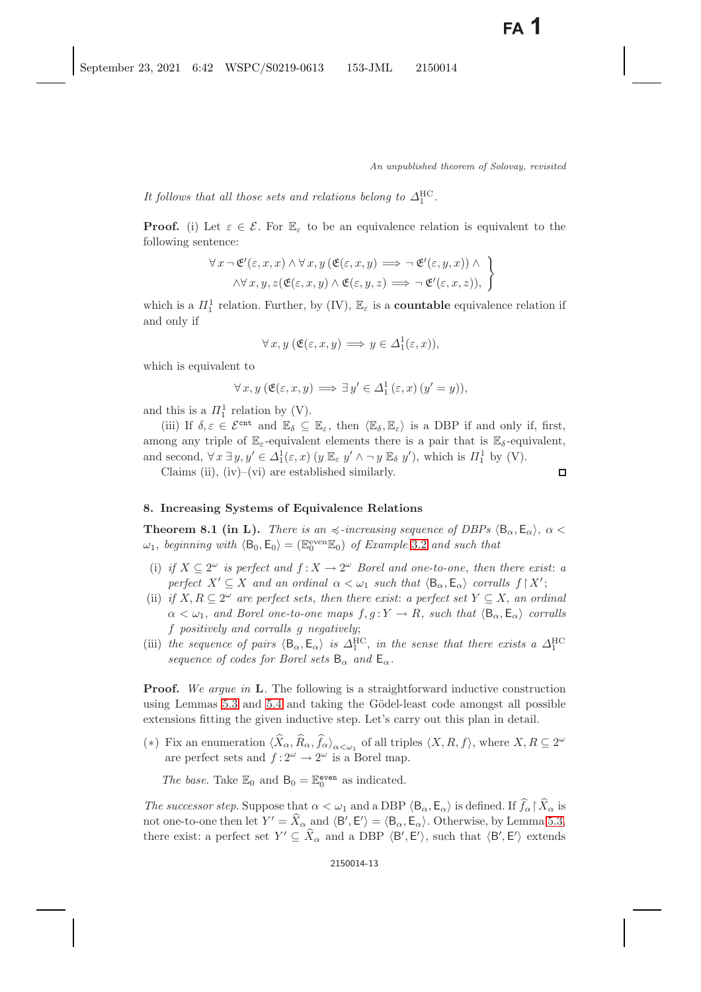It follows that all those sets and relations belong to  $\Delta_1^{\text{HC}}$ .

**Proof.** (i) Let  $\varepsilon \in \mathcal{E}$ . For  $\mathbb{E}_{\varepsilon}$  to be an equivalence relation is equivalent to the following sentence:

$$
\forall x \neg \mathfrak{E}'(\varepsilon, x, x) \land \forall x, y (\mathfrak{E}(\varepsilon, x, y) \implies \neg \mathfrak{E}'(\varepsilon, y, x)) \land \land \forall x, y, z (\mathfrak{E}(\varepsilon, x, y) \land \mathfrak{E}(\varepsilon, y, z) \implies \neg \mathfrak{E}'(\varepsilon, x, z)),
$$

which is a  $\Pi_1^1$  relation. Further, by (IV),  $\mathbb{E}_{\varepsilon}$  is a **countable** equivalence relation if and only if

$$
\forall x, y \ (\mathfrak{E}(\varepsilon, x, y) \Longrightarrow y \in \Delta_1^1(\varepsilon, x)),
$$

which is equivalent to

$$
\forall x, y \ (\mathfrak{E}(\varepsilon, x, y) \Longrightarrow \exists y' \in \Delta_1^1(\varepsilon, x) \ (y' = y)),
$$

and this is a  $\Pi_1^1$  relation by (V).<br>(iii) If  $\delta \in \mathcal{L}$  sent and  $\mathbb{F}_2$ 

(iii) If  $\delta, \varepsilon \in \mathcal{E}^{\text{cnt}}$  and  $\mathbb{E}_{\delta} \subseteq \mathbb{E}_{\varepsilon}$ , then  $\langle \mathbb{E}_{\delta}, \mathbb{E}_{\varepsilon} \rangle$  is a DBP if and only if, first, among any triple of  $\mathbb{E}_{\varepsilon}$ -equivalent elements there is a pair that is  $\mathbb{E}_{\delta}$ -equivalent, and second,  $\forall x \exists y, y' \in \Delta_1^1(\varepsilon, x)$   $(y \mathbb{E}_{\varepsilon} y' \wedge \neg y \mathbb{E}_{\delta} y')$ , which is  $\Pi_1^1$  by (V).<br>Claims (ii) (iv) (vi) are established similarly

Claims (ii),  $(iv)$ – $(vi)$  are established similarly.

$$
\qquad \qquad \Box
$$

#### <span id="page-12-1"></span><span id="page-12-0"></span>**8. Increasing Systems of Equivalence Relations**

**Theorem 8.1 (in L).** *There is an*  $\preccurlyeq$ -increasing sequence of DBPs  $\langle B_{\alpha}, E_{\alpha} \rangle$ ,  $\alpha$  <  $\therefore$  hoginating suith  $\langle B_{\alpha}, E_{\alpha} \rangle$ .  $\preccurlyeq$  ( $\mathbb{F}$ even $\mathbb{F}_{\alpha}$ ) of Example 3.2 and such that  $\omega_1$ , *beginning with*  $\langle \mathsf{B}_0, \mathsf{E}_0 \rangle = (\mathbb{E}_0^{\text{even}} \mathbb{E}_0)$  *of Example* [3.2](#page-3-2) *and such that* 

- (i) *if*  $X \subseteq 2^{\omega}$  *is perfect and*  $f : X \to 2^{\omega}$  *Borel and one-to-one, then there exist: a perfect*  $X' \subseteq X$  *and an ordinal*  $\alpha < \omega_1$  *such that*  $\langle \mathsf{B}_{\alpha}, \mathsf{E}_{\alpha} \rangle$  *corralls*  $f \upharpoonright X'$ ;<br>*if*  $X \cap P \subseteq 2^{\omega}$  are perfect sets, then there exist; a perfect set  $X \subseteq X$  an ord
- (ii) *if*  $X, R \subseteq 2^{\omega}$  *are perfect sets, then there exist: a perfect set*  $Y \subseteq X$ *, an ordinal*  $\alpha < \omega_1$ , and Borel one-to-one maps  $f, g: Y \to R$ , such that  $\langle B_\alpha, E_\alpha \rangle$  corralls f *positively and corralls* g *negatively*;
- (iii) *the sequence of pairs*  $\langle B_{\alpha}, E_{\alpha} \rangle$  *is*  $\Delta_1^{\text{HC}}$ , *in the sense that there exists a*  $\Delta_1^{\text{HC}}$ *sequence of codes for Borel sets*  $B_{\alpha}$  *and*  $E_{\alpha}$ *.*

**Proof.** *We argue in* **L***.* The following is a straightforward inductive construction using Lemmas [5.3](#page-7-1) and [5.4](#page-8-2) and taking the Gödel-least code amongst all possible extensions fitting the given inductive step. Let's carry out this plan in detail.

(\*) Fix an enumeration  $\langle \hat{X}_{\alpha}, \hat{R}_{\alpha}, \hat{f}_{\alpha} \rangle_{\alpha \leq \omega_1}$  of all triples  $\langle X, R, f \rangle$ , where  $X, R \subseteq 2^{\omega_1}$ are perfect sets and  $f: 2^{\omega} \to 2^{\omega}$  is a Borel map.

The base. Take  $\mathbb{E}_0$  and  $\mathsf{B}_0 = \mathbb{E}_0^{\text{even}}$  as indicated.

*The successor step.* Suppose that  $\alpha < \omega_1$  and a DBP  $\langle B_\alpha, E_\alpha \rangle$  is defined. If  $f_\alpha \upharpoonright X_\alpha$  is not one to one than let  $V' = \hat{Y}$  and  $\langle B' | F' \rangle = \langle B | F \rangle$ . Otherwise, by Lemma 5.3. not one-to-one then let  $Y' = X_\alpha$  and  $\langle B', E' \rangle = \langle B_\alpha, E_\alpha \rangle$ . Otherwise, by Lemma [5.3,](#page-7-1)<br>there exists a perfect set  $Y' \subseteq \widehat{Y}$  and a DBB  $\langle B', E' \rangle$  such that  $\langle B', E' \rangle$  extends there exist: a perfect set  $Y' \subseteq X_{\alpha}$  and a DBP  $\langle B', E' \rangle$ , such that  $\langle B', E' \rangle$  extends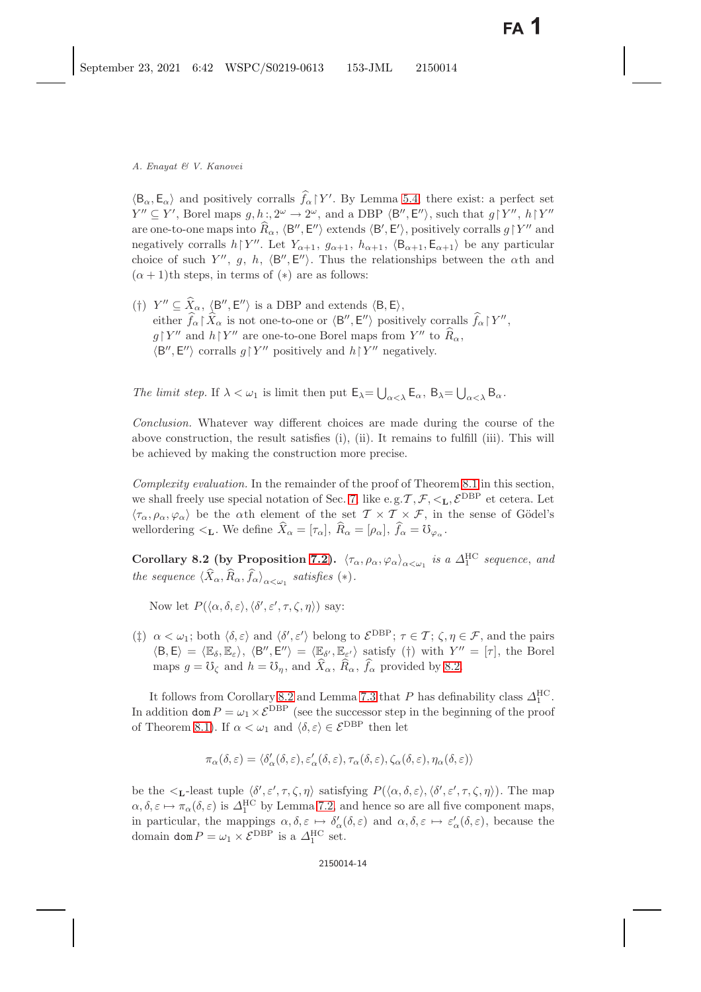$\langle B_{\alpha}, E_{\alpha} \rangle$  and positively corralls  $f_{\alpha} \upharpoonright Y'$ . By Lemma [5.4,](#page-8-0) there exist: a perfect set  $V'' \subset V'$ . Borel maps  $g, h: 2^{\omega} \to 2^{\omega}$  and a DBP  $\langle B'' \rangle$   $F'' \rangle$  such that  $g \upharpoonright V''$   $h \upharpoonright V''$ .  $\int_{\alpha}^{\alpha} |Y'|$  $Y'' \subseteq Y'$ , Borel maps  $g, h$ :,  $2^{\omega} \to 2^{\omega}$ , and a DBP  $\langle B'', E'' \rangle$ , such that  $g \upharpoonright Y''$ ,  $h \upharpoonright Y''$ <br>are one to one maps into  $\hat{B}$   $\langle B'', E'' \rangle$  extends  $\langle B', E' \rangle$ , positively carralls  $a \upharpoonright Y''$  and are one-to-one maps into  $R_{\alpha}$ ,  $\langle B'', E'' \rangle$  extends  $\langle B', E' \rangle$ , positively corralls  $g \upharpoonright Y''$  and<br>negatively corralls  $h \upharpoonright Y''$ . Let  $Y \leftrightarrow g$  and  $h \leftrightarrow g \upharpoonright R \leftrightarrow F \leftrightarrow$  be any particular negatively corralls  $h \upharpoonright Y''$ . Let  $Y_{\alpha+1}$ ,  $g_{\alpha+1}$ ,  $h_{\alpha+1}$ ,  $\langle B_{\alpha+1}, E_{\alpha+1} \rangle$  be any particular<br>choice of such  $Y''$ ,  $g$ ,  $h$ ,  $\langle B''$ ,  $E''' \rangle$ , Thus the relationships between the oth and choice of such Y'', g, h,  $\langle B'', E'' \rangle$ . Thus the relationships between the  $\alpha$ th and  $(\alpha + 1)$ <sup>th</sup> stops in terms of  $(\alpha)$  are as follows:  $(\alpha + 1)$ th steps, in terms of  $(*)$  are as follows:

(†)  $Y'' \subseteq X_\alpha$ ,  $\langle B'', E'' \rangle$ <br>oithor  $\hat{f} \restriction \hat{Y}$  is n  $\mathcal{L} \subseteq X_\alpha$ ,  $\langle \mathsf{B}'', \mathsf{E}'' \rangle$  is a DBP and extends  $\langle \mathsf{B}, \mathsf{E} \rangle$ ,<br>her  $\hat{f} \restriction \hat{Y}$  is not one to one or  $\langle \mathsf{B}''', \mathsf{E}'' \rangle$  position either  $f_{\alpha}$   $X_{\alpha}$  is not one-to-one or  $\langle B'', E'' \rangle$  positively corralls  $f_{\alpha} \upharpoonright Y'',$ <br> $\epsilon \upharpoonright V''$  and  $\epsilon \upharpoonright V''$  are one to one Borel maps from  $V''$  to  $\widehat{P}$  $g\upharpoonright Y''$  and  $h\upharpoonright Y''$  are one-to-one Borel maps from  $Y''$  to  $R_{\alpha}$ ,<br> $\downarrow R''$ ,  $F''\sim$  corrells  $g\upharpoonright Y''$  positively and  $h\upharpoonright Y''$  positively.  $\langle B'', E'' \rangle$  corralls  $g \upharpoonright Y''$  positively and  $h \upharpoonright Y''$  negatively.

The limit step. If  $\lambda < \omega_1$  is limit then put  $\mathsf{E}_{\lambda} = \bigcup_{\alpha < \lambda} \mathsf{E}_{\alpha}, \ \mathsf{B}_{\lambda} = \bigcup_{\alpha < \lambda} \mathsf{B}_{\alpha}.$ 

*Conclusion.* Whatever way different choices are made during the course of the above construction, the result satisfies (i), (ii). It remains to fulfill (iii). This will be achieved by making the construction more precise.

*Complexity evaluation.* In the remainder of the proof of Theorem [8.1](#page-12-1) in this section, we shall freely use special notation of Sec. [7,](#page-10-0) like e.g.  $\mathcal{T}, \mathcal{F}, <_{\mathbf{L}}, \mathcal{E}^{\text{DBP}}$  et cetera. Let  $\langle \tau_\alpha, \rho_\alpha, \varphi_\alpha \rangle$  be the  $\alpha$ th element of the set  $\mathcal{T} \times \mathcal{T} \times \mathcal{F}$ , in the sense of Gödel's wellordering  $\mathcal{L}_{\mathbf{L}}$ . We define  $\widehat{X}_{\alpha} = [\tau_{\alpha}], \widehat{R}_{\alpha} = [\rho_{\alpha}], \widehat{f}_{\alpha} = \mathbb{U}_{\varphi_{\alpha}}$ .

<span id="page-13-0"></span>**Corollary 8.2 (by Proposition [7.2\)](#page-11-1).**  $\langle \tau_{\alpha}, \rho_{\alpha}, \varphi_{\alpha} \rangle_{\alpha < \omega_1}$  is a  $\Delta_1^{\text{HC}}$  sequence, and *the sequence*  $\langle X_{\alpha}, R_{\alpha}, f_{\alpha} \rangle_{\alpha < \omega_1}$  *satisfies* (\*).

Now let  $P(\langle \alpha, \delta, \varepsilon \rangle, \langle \delta', \varepsilon', \tau, \zeta, \eta \rangle)$  say:

(‡)  $\alpha < \omega_1$ ; both  $\langle \delta, \varepsilon \rangle$  and  $\langle \delta', \varepsilon' \rangle$  belong to  $\mathcal{E}^{DBP}$ ;  $\tau \in \mathcal{T}$ ;  $\zeta, \eta \in \mathcal{F}$ , and the pairs  $\langle \mathbf{R} \rangle$   $\infty$  =  $\langle \mathbf{R} \rangle$  =  $\langle \mathbf{R} \rangle$  =  $\langle \mathbf{R} \rangle$  =  $\langle \mathbf{R} \rangle$  =  $\langle \mathbf{R} \rangle$  =  $\langle$  $\langle B, E \rangle = \langle \mathbb{E}_{\delta}, \mathbb{E}_{\varepsilon} \rangle, \langle B'', E'' \rangle = \langle \mathbb{E}_{\delta'}$ <br>maps  $a = 3s$ , and  $b = 3s$ , and  $\hat{Y}$  $\langle \mathbf{E}_{\varepsilon'} \rangle$  satisfy (†) with  $Y'' = [\tau]$ , the Borel maps  $g = \mathcal{O}_{\zeta}$  and  $h = \mathcal{O}_{\eta}$ , and  $\widehat{X}_{\alpha}$ ,  $\widehat{R}_{\alpha}$ ,  $\widehat{f}_{\alpha}$  provided by [8.2.](#page-13-0)

It follows from Corollary [8.2](#page-13-0) and Lemma [7.3](#page-11-2) that P has definability class  $\Delta_{\rm H}^{\rm HC}$ . In addition  $\text{dom } P = \omega_1 \times \mathcal{E}^{\text{DBP}}$  (see the successor step in the beginning of the proof of Theorem [8.1\)](#page-12-1). If  $\alpha < \omega_1$  and  $\langle \delta, \varepsilon \rangle \in \mathcal{E}^{\text{DBP}}$  then let

$$
\pi_{\alpha}(\delta,\varepsilon) = \langle \delta_{\alpha}'(\delta,\varepsilon), \varepsilon_{\alpha}'(\delta,\varepsilon), \tau_{\alpha}(\delta,\varepsilon), \zeta_{\alpha}(\delta,\varepsilon), \eta_{\alpha}(\delta,\varepsilon) \rangle
$$

be the  $\langle \mathbf{L} \cdot \mathbf{L} \cdot \mathbf{L} \cdot \mathbf{L} \cdot \mathbf{L} \cdot \mathbf{L} \cdot \mathbf{L} \cdot \mathbf{L} \cdot \mathbf{L} \cdot \mathbf{L} \cdot \mathbf{L} \cdot \mathbf{L} \cdot \mathbf{L} \cdot \mathbf{L} \cdot \mathbf{L} \cdot \mathbf{L} \cdot \mathbf{L} \cdot \mathbf{L} \cdot \mathbf{L} \cdot \mathbf{L} \cdot \mathbf{L} \cdot \mathbf{L} \cdot \mathbf{L} \cdot \mathbf{L} \cdot \mathbf{L} \cdot \mathbf{L} \cdot \mathbf$  $\alpha, \delta, \varepsilon \mapsto \pi_{\alpha}(\delta, \varepsilon)$  is  $\Delta_1^{\text{HC}}$  by Lemma [7.2,](#page-11-1) and hence so are all five component maps,<br>in particular, the mappings  $\alpha, \delta, \varepsilon \mapsto \delta'(\delta, \varepsilon)$  and  $\alpha, \delta, \varepsilon \mapsto \varepsilon'(\delta, \varepsilon)$  because the in particular, the mappings  $\alpha, \delta, \varepsilon \mapsto \delta'_{\alpha}(\delta, \varepsilon)$  and  $\alpha, \delta, \varepsilon \mapsto \varepsilon'_{\alpha}(\delta, \varepsilon)$ , because the domain dom  $P = \omega_1 \times \mathcal{E}^{\text{DBP}}$  is a  $\Delta_1^{\text{HC}}$  set.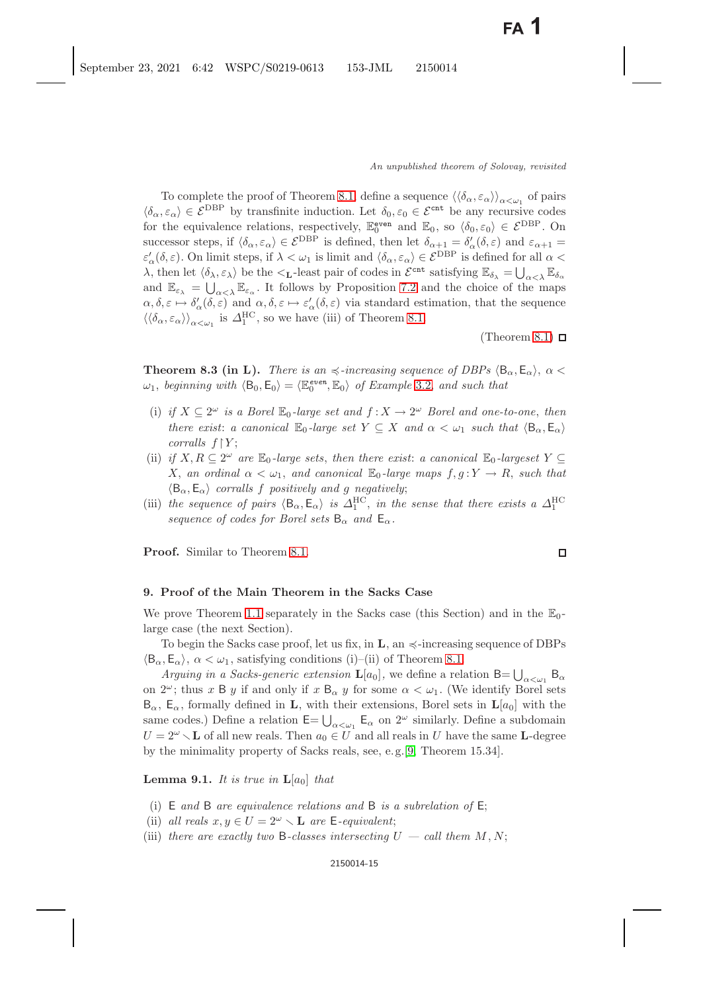To complete the proof of Theorem [8.1,](#page-12-0) define a sequence  $\langle \langle \delta_{\alpha}, \varepsilon_{\alpha} \rangle \rangle_{\alpha \leq \omega_1}$  of pairs  $\langle \delta_{\alpha}, \varepsilon_{\alpha} \rangle \in \mathcal{E}^{DBP}$  by transfinite induction. Let  $\delta_0, \varepsilon_0 \in \mathcal{E}^{cnt}$  be any recursive codes for the equivalence relations, respectively,  $\mathbb{E}_{0}^{\text{even}}$  and  $\mathbb{E}_{0}$ , so  $\langle \delta_{0}, \varepsilon_{0} \rangle \in \mathcal{E}^{\text{DBP}}$ . On<br>successor stops if  $\langle \delta, \varepsilon \rangle \in \mathcal{E}^{\text{DBP}}$  is defined then let  $\delta, \varepsilon \in \mathcal{S}'(\delta, \varepsilon)$  and  $\varepsilon$ successor steps, if  $\langle \delta_{\alpha}, \varepsilon_{\alpha} \rangle \in \mathcal{E}^{DBP}$  is defined, then let  $\delta_{\alpha+1} = \delta'_{\alpha}(\delta, \varepsilon)$  and  $\varepsilon_{\alpha+1} = \varepsilon'(\delta, \varepsilon)$ . On limit steps, if  $\sum_{\alpha}$   $\langle \alpha, \xi \rangle$  is limit and  $\langle \delta, \xi \rangle \in \mathcal{E}^{DBP}$  is defined f  $\varepsilon'_{\alpha}(\delta, \varepsilon)$ . On limit steps, if  $\lambda < \omega_1$  is limit and  $\langle \delta_{\alpha}, \varepsilon_{\alpha} \rangle \in \mathcal{E}^{DBP}$  is defined for all  $\alpha < \lambda$ , then let  $\langle \delta_{\alpha}, \varepsilon_{\alpha} \rangle$  be the  $\langle \varepsilon_{\alpha}, \varepsilon_{\alpha} \rangle$  and  $\varepsilon_{\alpha}$  and  $\varepsilon_{\alpha}$  and  $\varepsilon_{\$  $λ$ , then let  $\langle δ<sub>λ</sub>, ε<sub>λ</sub>$  be the <**L**-least pair of codes in  $\mathcal{E}^{\text{cnt}}$  satisfying  $\mathbb{E}_{δ<sub>λ</sub>} = \bigcup_{\alpha < λ} \mathbb{E}_{δ<sub>α</sub>}$ and  $\mathbb{E}_{\varepsilon_{\lambda}} = \bigcup_{\alpha < \lambda} \mathbb{E}_{\varepsilon_{\alpha}}$ . It follows by Proposition [7.2](#page-11-3) and the choice of the maps  $\alpha, \delta, \varepsilon \mapsto \delta'_{\alpha}(\delta, \varepsilon)$  and  $\alpha, \delta, \varepsilon \mapsto \varepsilon'_{\alpha}(\delta, \varepsilon)$  via standard estimation, that the sequence  $\langle\langle \delta_{\alpha}, \varepsilon_{\alpha} \rangle\rangle_{\alpha \leq \omega_1}$  is  $\Delta_1^{\text{HC}}$ , so we have (iii) of Theorem [8.1.](#page-12-0)

(Theorem [8.1\)](#page-12-0)  $\Box$ 

<span id="page-14-3"></span><span id="page-14-1"></span>**Theorem 8.3 (in L).** *There is an*  $\preccurlyeq$ -increasing sequence of DBPs  $\langle B_{\alpha}, E_{\alpha} \rangle$ ,  $\alpha$  <  $\therefore$  hocinaire with  $\langle B_{\alpha}, E_{\alpha} \rangle$  =  $\langle E_{\alpha}e^{i\theta} \rangle$  and  $E_{\alpha}$  and such that  $\omega_1$ , *beginning with*  $\langle B_0, E_0 \rangle = \langle \mathbb{E}_0^{even}, \mathbb{E}_0 \rangle$  of Example [3.2,](#page-3-2) and such that

- (i) *if*  $X \subseteq 2^{\omega}$  *is a Borel*  $\mathbb{E}_0$ -large set and  $f: X \to 2^{\omega}$  Borel and one-to-one, then *there exist: a canonical*  $\mathbb{E}_0$ -*large set*  $Y \subseteq X$  *and*  $\alpha < \omega_1$  *such that*  $\langle \mathsf{B}_{\alpha}, \mathsf{E}_{\alpha} \rangle$ *corralls*  $f \upharpoonright Y$ ;
- (ii) *if*  $X, R \subseteq 2^{\omega}$  *are*  $\mathbb{E}_0$ *-large sets, then there exist: a canonical*  $\mathbb{E}_0$ *-largeset*  $Y \subseteq$ X, an ordinal  $\alpha < \omega_1$ , and canonical  $\mathbb{E}_0$ -large maps  $f, g: Y \to R$ , such that  $\langle \mathsf{B}_{\alpha}, \mathsf{E}_{\alpha} \rangle$  corralls f positively and g negatively;  $\langle B_{\alpha}, E_{\alpha} \rangle$  *corralls* f *positively and* g *negatively*;<br>the escavance of point  $\langle B, E_{\alpha} \rangle$  is  $A^{HC}$  in the
- (iii) *the sequence of pairs*  $\langle B_{\alpha}, E_{\alpha} \rangle$  *is*  $\Delta_1^{\text{HC}}$ , *in the sense that there exists a*  $\Delta_1^{\text{HC}}$ *sequence of codes for Borel sets*  $B_{\alpha}$  *and*  $E_{\alpha}$ *.*

**Proof.** Similar to Theorem [8.1.](#page-12-0)

#### **9. Proof of the Main Theorem in the Sacks Case**

We prove Theorem [1.1](#page-1-1) separately in the Sacks case (this Section) and in the  $\mathbb{E}_0$ large case (the next Section).

To begin the Sacks case proof, let us fix, in  $\mathbf{L}$ , an  $\preccurlyeq$ -increasing sequence of DBPs  $\langle B_{\alpha}, E_{\alpha} \rangle$ ,  $\alpha < \omega_1$ , satisfying conditions (i)–(ii) of Theorem [8.1.](#page-12-0)

*Arguing in a Sacks-generic extension*  $\mathbf{L}[a_0]$ , we define a relation  $B = \bigcup_{\alpha < \omega_1} B_{\alpha}$ <br>  $2^{\omega}$ , thus  $x \to \alpha$  if and only if  $x \to \alpha$  for some  $\alpha < \alpha$ . (We identify Borel sets on  $2^{\omega}$ ; thus x B y if and only if x B<sub> $\alpha$ </sub> y for some  $\alpha < \omega_1$ . (We identify Borel sets  $B_{\alpha}$ ,  $E_{\alpha}$ , formally defined in **L**, with their extensions, Borel sets in  $\mathbf{L}[a_0]$  with the same codes.) Define a relation  $\mathsf{E} = \bigcup_{\alpha < \omega_1} \mathsf{E}_\alpha$  on  $2^\omega$  similarly. Define a subdomain  $U = 2^{\omega} \setminus \mathbf{L}$  of all new reals. Then  $a_0 \in U$  and all reals in U have the same **L**-degree by the minimality property of Sacks reals, see, e. g.[\[9,](#page-21-18) Theorem 15.34].

<span id="page-14-2"></span><span id="page-14-0"></span>**Lemma 9.1.** *It is true in*  $\mathbf{L}[a_0]$  *that* 

- (i) E *and* B *are equivalence relations and* B *is a subrelation of* E;
- (ii) *all reals*  $x, y \in U = 2^{\omega} \setminus \mathbf{L}$  *are*  $\mathbf{E}$ *-equivalent*;<br>(iii) there are exactly two B classes intersecting l
- (iii) *there are exactly two* B-*classes intersecting*  $U \text{call them } M, N$ ;

 $\Box$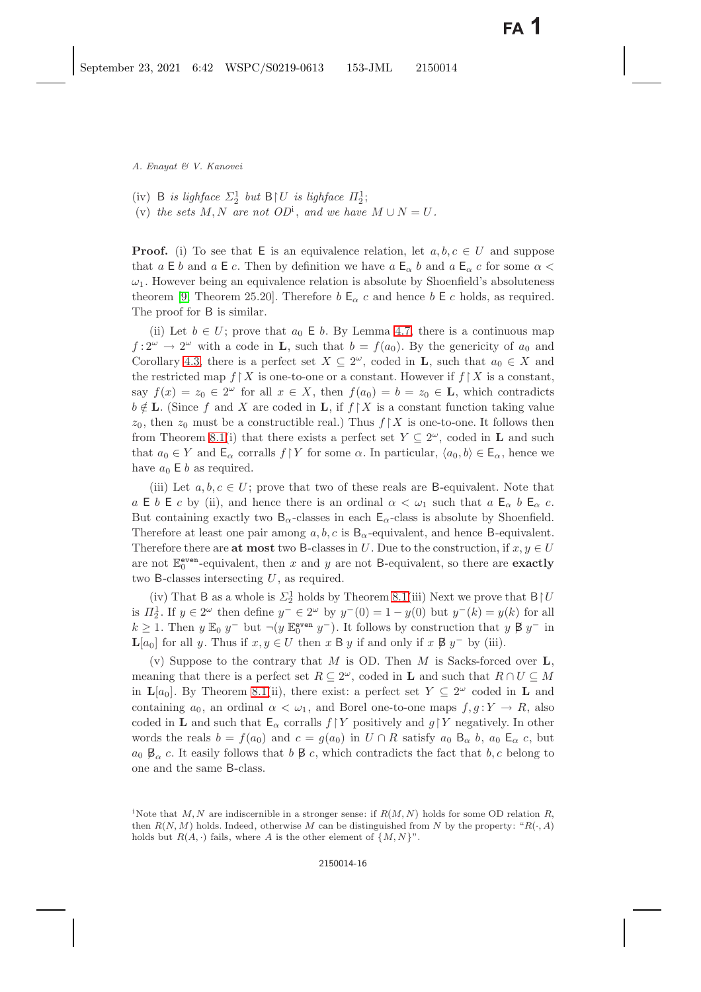(iv) B *is lighface*  $\Sigma_2^1$  *but* B | *U is lighface*  $\Pi_2^1$ ;<br>(v) the sets M N are not  $OP^1$  and we have (v) the sets  $M, N$  are not  $OD^i$ , and we have  $M \cup N = U$ .

**Proof.** (i) To see that E is an equivalence relation, let  $a, b, c \in U$  and suppose that  $a \to b$  and  $a \to c$ . Then by definition we have  $a \to c$  and  $a \to c$  for some  $\alpha$  $\omega_1$ . However being an equivalence relation is absolute by Shoenfield's absoluteness theorem [\[9,](#page-21-16) Theorem 25.20]. Therefore  $b \mathsf{E}_{\alpha} c$  and hence  $b \mathsf{E} c$  holds, as required. The proof for B is similar.

(ii) Let  $b \in U$ ; prove that  $a_0 \in b$ . By Lemma [4.7,](#page-5-0) there is a continuous map  $f: 2^{\omega} \to 2^{\omega}$  with a code in **L**, such that  $b = f(a_0)$ . By the genericity of  $a_0$  and Corollary [4.3,](#page-4-3) there is a perfect set  $X \subseteq 2^{\omega}$ , coded in **L**, such that  $a_0 \in X$  and the restricted map  $f \restriction X$  is one-to-one or a constant. However if  $f \restriction X$  is a constant, say  $f(x) = z_0 \in 2^{\omega}$  for all  $x \in X$ , then  $f(a_0) = b = z_0 \in \mathbf{L}$ , which contradicts  $b \notin L$ . (Since f and X are coded in L, if  $f \restriction X$  is a constant function taking value  $z_0$ , then  $z_0$  must be a constructible real.) Thus  $f\upharpoonright X$  is one-to-one. It follows then from Theorem [8.1\(](#page-12-1)i) that there exists a perfect set  $Y \subseteq 2^{\omega}$ , coded in **L** and such that  $a_0 \in Y$  and  $\mathsf{E}_{\alpha}$  corralls  $f \upharpoonright Y$  for some  $\alpha$ . In particular,  $\langle a_0, b \rangle \in \mathsf{E}_{\alpha}$ , hence we have  $a_0 \nightharpoonup b$  as required.

(iii) Let  $a, b, c \in U$ ; prove that two of these reals are B-equivalent. Note that a E b E c by (ii), and hence there is an ordinal  $\alpha < \omega_1$  such that a E<sub>α</sub> b E<sub>α</sub> c. But containing exactly two  $B_{\alpha}$ -classes in each  $E_{\alpha}$ -class is absolute by Shoenfield. Therefore at least one pair among  $a, b, c$  is  $B_{\alpha}$ -equivalent, and hence B-equivalent. Therefore there are **at most** two B-classes in U. Due to the construction, if  $x, y \in U$ are not  $\mathbb{E}_0^{\text{even}}$ -equivalent, then x and y are not B-equivalent, so there are **exactly** two B-classes intersecting  $U$ , as required.

(iv) That B as a whole is  $\Sigma_2^1$  holds by Theorem [8.1\(](#page-12-1)iii) Next we prove that  $B \upharpoonright U$ <br> $\overline{L}^1$ , If  $u \in 2^\omega$  then define  $u^- \in 2^\omega$  by  $u^- (0) = 1$ ,  $u(0)$  by  $u^- (h) = u(h)$  for all is  $\Pi_2^1$ . If  $y \in 2^{\omega}$  then define  $y^- \in 2^{\omega}$  by  $y^-(0) = 1 - y(0)$  but  $y^-(k) = y(k)$  for all  $k > 1$ . Then  $y \mathbb{F}_2 y^-$  but  $y(k)$  we want all  $y^-(k)$  for all  $k > 1$ . Then  $y \mathbb{F}_2 y^-$  but  $y(k)$  we want all  $y^-(k)$  $k \geq 1$ . Then  $y \to 0$  y<sup>−</sup> but  $\neg(y \to e^{i\theta} y^{-})$ . It follows by construction that  $y \not\in y^{-}$  in <br>Let for all  $y \to e^{i\theta}$  in  $\Box$  is  $\Box$  if and only if  $x \not\in y^{-}$  by (iii)  $\mathbf{L}[a_0]$  for all y. Thus if  $x, y \in U$  then x B y if and only if x  $\mathcal{B} y^-$  by (iii).

(v) Suppose to the contrary that M is OD. Then M is Sacks-forced over **<sup>L</sup>**, meaning that there is a perfect set  $R \subseteq 2^{\omega}$ , coded in **L** and such that  $R \cap U \subseteq M$ in  $\mathbf{L}[a_0]$ . By Theorem [8.1\(](#page-12-1)ii), there exist: a perfect set  $Y \subseteq 2^{\omega}$  coded in **L** and containing  $a_0$ , an ordinal  $\alpha < \omega_1$ , and Borel one-to-one maps  $f, g: Y \to R$ , also coded in **L** and such that  $\mathsf{E}_{\alpha}$  corralls  $f \upharpoonright Y$  positively and  $g \upharpoonright Y$  negatively. In other words the reals  $b = f(a_0)$  and  $c = g(a_0)$  in  $U \cap R$  satisfy  $a_0 \mathsf{B}_{\alpha} b$ ,  $a_0 \mathsf{E}_{\alpha} c$ , but  $a_0 \not\!\!B_\alpha$  c. It easily follows that  $b \not\!\!B c$ , which contradicts the fact that  $b, c$  belong to one and the same B-class.

<sup>&</sup>lt;sup>i</sup>Note that M, N are indiscernible in a stronger sense: if  $R(M, N)$  holds for some OD relation R, then  $R(N,M)$  holds. Indeed, otherwise M can be distinguished from N by the property: " $R(\cdot, A)$ " holds but  $R(A, \cdot)$  fails, where A is the other element of  $\{M, N\}$ ".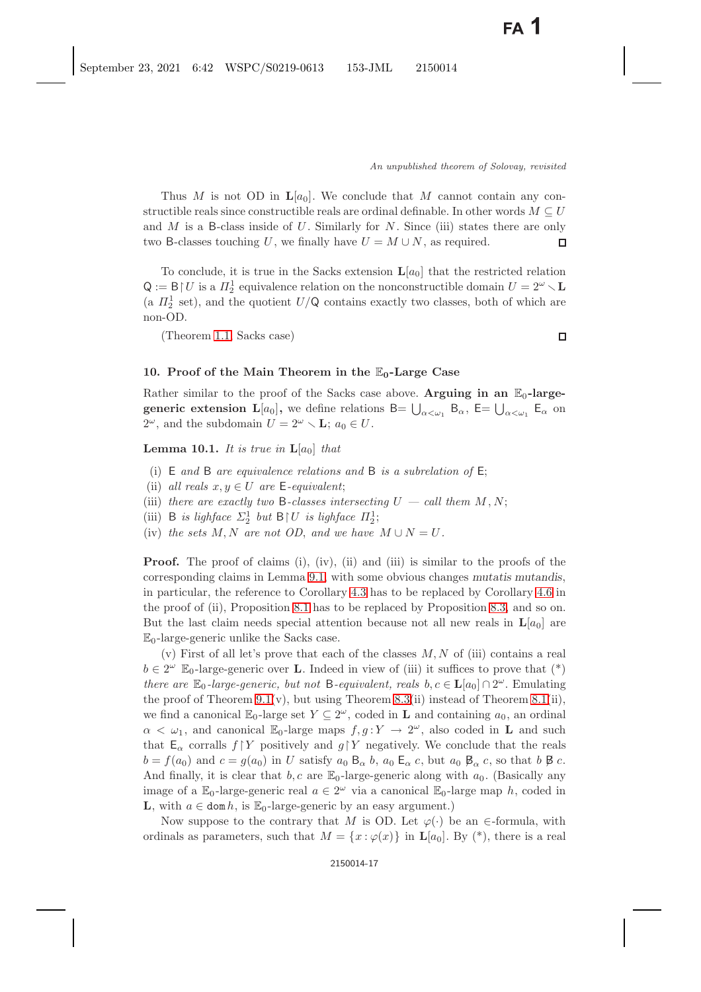Thus M is not OD in  $L[a_0]$ . We conclude that M cannot contain any constructible reals since constructible reals are ordinal definable. In other words  $M \subseteq U$ and M is a B-class inside of U. Similarly for N. Since (iii) states there are only two B-classes touching U, we finally have  $U = M \cup N$ , as required. two B-classes touching U, we finally have  $U = M \cup N$ , as required.

To conclude, it is true in the Sacks extension  $\mathbf{L}[a_0]$  that the restricted relation  $Q := B \upharpoonright U$  is a  $\Pi_2^1$  equivalence relation on the nonconstructible domain  $U = 2^{\omega} \setminus L$ <br>(e.  $\Pi_1^1$  set), and the quotient  $U/O$  contains greatly two classes, both of which are (a  $\Pi_2^1$  set), and the quotient  $U/Q$  contains exactly two classes, both of which are non-OD.

(Theorem [1.1,](#page-1-1) Sacks case)

#### **10. Proof of the Main Theorem in the** E**0-Large Case**

Rather similar to the proof of the Sacks case above. **Arguing in an**  $\mathbb{E}_0$ -large**generic extension**  $L[a_0]$ **,** we define relations  $B = \bigcup_{\alpha < \omega_1} B_{\alpha}$ ,  $E = \bigcup_{\alpha < \omega_1} E_{\alpha}$  on  $2^{\omega}$  and the subdomain  $U = 2^{\omega} \times L$  i.e.  $\in U$  $2^{\omega}$ , and the subdomain  $U = 2^{\omega} \setminus \mathbf{L}$ ;  $a_0 \in U$ .

**Lemma 10.1.** *It is true in*  $\mathbf{L}[a_0]$  *that* 

- (i) E *and* B *are equivalence relations and* B *is a subrelation of* E;
- (ii) *all reals*  $x, y \in U$  *are*  $\mathsf{E}\text{-}equivalent;$
- (iii) *there are exactly two* B-*classes intersecting*  $U \text{call them } M, N$ ;
- (iii) B *is lighface*  $\Sigma_2^1$  *but* B | *U is lighface*  $\Pi_2^1$ ;<br>(iv) the sets M N are not OD and we have
- (iv) the sets M, N are not OD, and we have  $M \cup N = U$ .

**Proof.** The proof of claims (i), (iv), (ii) and (iii) is similar to the proofs of the corresponding claims in Lemma [9.1,](#page-14-0) with some obvious changes *mutatis mutandis*, in particular, the reference to Corollary [4.3](#page-4-4) has to be replaced by Corollary [4.6](#page-5-1) in the proof of (ii), Proposition [8.1](#page-12-0) has to be replaced by Proposition [8.3,](#page-14-1) and so on. But the last claim needs special attention because not all new reals in  $\mathbf{L}[a_0]$  are  $\mathbb{E}_0$ -large-generic unlike the Sacks case.

(v) First of all let's prove that each of the classes  $M, N$  of (iii) contains a real  $b \in 2^{\omega}$  E<sub>0</sub>-large-generic over **L**. Indeed in view of (iii) it suffices to prove that (\*) *there are*  $\mathbb{E}_0$ *-large-generic, but not* B*-equivalent, reals*  $b, c \in L[a_0] \cap 2^\omega$ . Emulating the proof of Theorem [9.1\(](#page-14-0)v), but using Theorem [8.3\(](#page-14-1)ii) instead of Theorem [8.1\(](#page-12-0)ii), we find a canonical  $\mathbb{E}_0$ -large set  $Y \subseteq 2^\omega$ , coded in **L** and containing  $a_0$ , an ordinal  $\alpha < \omega_1$ , and canonical E<sub>0</sub>-large maps  $f, g: Y \to 2^{\omega}$ , also coded in **L** and such that  $E_{\alpha}$  corralls  $f \upharpoonright Y$  positively and  $g \upharpoonright Y$  negatively. We conclude that the reals  $b = f(a_0)$  and  $c = g(a_0)$  in U satisfy  $a_0 \boxtimes_{\alpha} b$ ,  $a_0 \boxtimes_{\alpha} c$ , but  $a_0 \boxtimes_{\alpha} c$ , so that  $b \boxtimes c$ . And finally, it is clear that b, c are  $\mathbb{E}_0$ -large-generic along with  $a_0$ . (Basically any image of a  $\mathbb{E}_0$ -large-generic real  $a \in 2^{\omega}$  via a canonical  $\mathbb{E}_0$ -large map h, coded in **L**, with  $a \in \text{dom } h$ , is  $\mathbb{E}_0$ -large-generic by an easy argument.)

Now suppose to the contrary that M is OD. Let  $\varphi(\cdot)$  be an  $\in$ -formula, with ordinals as parameters, such that  $M = \{x : \varphi(x)\}\$ in  $\mathbf{L}[a_0]$ . By  $(*)$ , there is a real

 $\Box$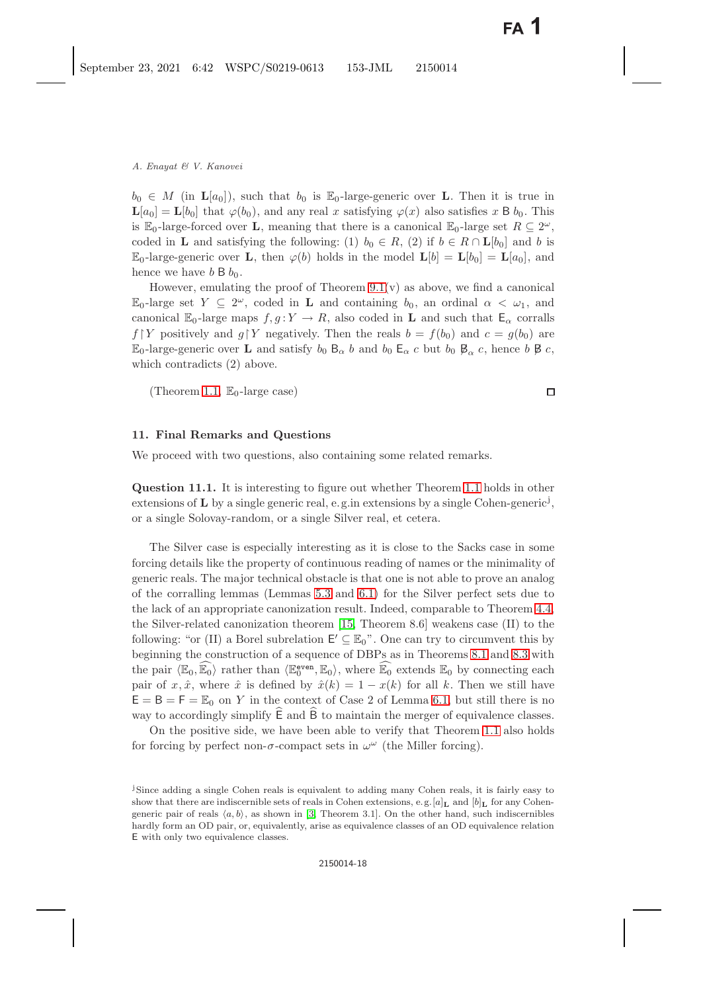$b_0 \in M$  (in  $\mathbf{L}[a_0]$ ), such that  $b_0$  is  $\mathbb{E}_0$ -large-generic over **L**. Then it is true in  $\mathbf{L}[a_0] = \mathbf{L}[b_0]$  that  $\varphi(b_0)$ , and any real x satisfying  $\varphi(x)$  also satisfies x B  $b_0$ . This is E<sub>0</sub>-large-forced over **L**, meaning that there is a canonical E<sub>0</sub>-large set  $R \subseteq 2^{\omega}$ , coded in **L** and satisfying the following: (1)  $b_0 \in R$ , (2) if  $b \in R \cap L[b_0]$  and b is  $\mathbb{E}_0$ -large-generic over **L**, then  $\varphi(b)$  holds in the model  $\mathbf{L}[b] = \mathbf{L}[b_0] = \mathbf{L}[a_0]$ , and hence we have  $b \boxtimes b_0$ .

However, emulating the proof of Theorem  $9.1(v)$  as above, we find a canonical E<sub>0</sub>-large set  $Y \subseteq 2^{\omega}$ , coded in **L** and containing  $b_0$ , an ordinal  $\alpha < \omega_1$ , and canonical  $\mathbb{E}_0$ -large maps  $f, g: Y \to R$ , also coded in **L** and such that  $\mathsf{E}_\alpha$  corralls  $f \, | \, Y$  positively and  $g \, | \, Y$  negatively. Then the reals  $b = f(b_0)$  and  $c = g(b_0)$  are  $\mathbb{E}_0$ -large-generic over **L** and satisfy  $b_0$   $\mathsf{B}_{\alpha}$  b and  $b_0$   $\mathsf{E}_{\alpha}$  c but  $b_0$   $\mathsf{B}_{\alpha}$  c, hence b  $\beta$  c, which contradicts (2) above.

(Theorem [1.1,](#page-1-0)  $\mathbb{E}_0$ -large case)

#### **11. Final Remarks and Questions**

We proceed with two questions, also containing some related remarks.

**Question 11.1.** It is interesting to figure out whether Theorem [1.1](#page-1-0) holds in other extensions of **L** by a single generic real, e.g. in extensions by a single Cohen-generic<sup>j</sup>, or a single Solovay-random, or a single Silver real, et cetera.

The Silver case is especially interesting as it is close to the Sacks case in some forcing details like the property of continuous reading of names or the minimality of generic reals. The major technical obstacle is that one is not able to prove an analog of the corralling lemmas (Lemmas [5.3](#page-7-0) and [6.1\)](#page-8-1) for the Silver perfect sets due to the lack of an appropriate canonization result. Indeed, comparable to Theorem [4.4,](#page-4-1) the Silver-related canonization theorem [\[15,](#page-21-11) Theorem 8.6] weakens case (II) to the following: "or (II) a Borel subrelation  $E' \subseteq \mathbb{E}_0$ ". One can try to circumvent this by beginning the construction of a sequence of DBPs as in Theorems [8.1](#page-12-1) and [8.3](#page-14-3) with the pair  $\langle \mathbb{E}_0, \overline{\mathbb{E}_0} \rangle$  rather than  $\langle \mathbb{E}_0^{\text{even}}, \mathbb{E}_0 \rangle$ , where  $\widehat{\mathbb{E}_0}$  extends  $\mathbb{E}_0$  by connecting each pair of  $x \, \hat{x}$  where  $\hat{x}$  is defined by  $\hat{x}(k) = 1 - x(k)$  for all k. Then we still hav pair of x,  $\hat{x}$ , where  $\hat{x}$  is defined by  $\hat{x}(k)=1-x(k)$  for all k. Then we still have  $E = B = F = \mathbb{E}_0$  on Y in the context of Case 2 of Lemma [6.1,](#page-8-1) but still there is no way to accordingly simplify  $\widetilde{E}$  and  $\widetilde{B}$  to maintain the merger of equivalence classes.

On the positive side, we have been able to verify that Theorem [1.1](#page-1-0) also holds for forcing by perfect non- $\sigma$ -compact sets in  $\omega^{\omega}$  (the Miller forcing).

 $\Box$ 

<sup>&</sup>lt;sup>j</sup>Since adding a single Cohen reals is equivalent to adding many Cohen reals, it is fairly easy to show that there are indiscernible sets of reals in Cohen extensions, e.g.  $[a]_L$  and  $[b]_L$  for any Cohengeneric pair of reals  $\langle a, b \rangle$ , as shown in [\[3,](#page-20-8) Theorem 3.1]. On the other hand, such indiscernibles hardly form an OD pair, or, equivalently, arise as equivalence classes of an OD equivalence relation E with only two equivalence classes.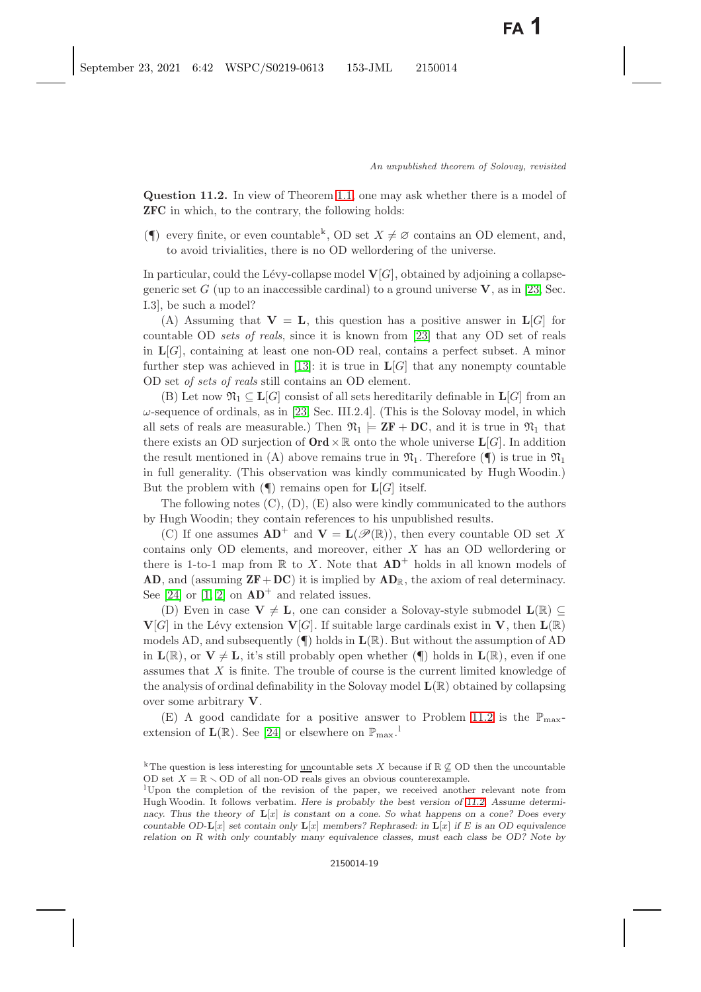<span id="page-18-0"></span>**Question 11.2.** In view of Theorem [1.1,](#page-1-1) one may ask whether there is a model of **ZFC** in which, to the contrary, the following holds:

( $\P$ ) every finite, or even countable<sup>k</sup>, OD set  $X \neq \emptyset$  contains an OD element, and, to avoid trivialities, there is no OD wellordering of the universe.

In particular, could the Lévy-collapse model  $\mathbf{V}[G]$ , obtained by adjoining a collapsegeneric set G (up to an inaccessible cardinal) to a ground universe  $V$ , as in [\[23,](#page-21-19) Sec. I.3], be such a model?

(A) Assuming that  $V = L$ , this question has a positive answer in  $L[G]$  for countable OD *sets of reals*, since it is known from [\[23\]](#page-21-19) that any OD set of reals in  $L[G]$ , containing at least one non-OD real, contains a perfect subset. A minor further step was achieved in [\[13\]](#page-21-4): it is true in  $\mathbf{L}[G]$  that any nonempty countable OD set *of sets of reals* still contains an OD element.

(B) Let now  $\mathfrak{N}_1 \subseteq \mathbf{L}[G]$  consist of all sets hereditarily definable in  $\mathbf{L}[G]$  from an  $\omega$ -sequence of ordinals, as in [\[23,](#page-21-19) Sec. III.2.4]. (This is the Solovay model, in which all sets of reals are measurable.) Then  $\mathfrak{N}_1 \models \mathbf{ZF} + \mathbf{DC}$ , and it is true in  $\mathfrak{N}_1$  that there exists an OD surjection of  $\text{Ord}\times\mathbb{R}$  onto the whole universe  $\text{L}[G]$ . In addition the result mentioned in (A) above remains true in  $\mathfrak{N}_1$ . Therefore ( $\P$ ) is true in  $\mathfrak{N}_1$ in full generality. (This observation was kindly communicated by Hugh Woodin.) But the problem with  $(\P)$  remains open for  $\mathbf{L}[G]$  itself.

The following notes  $(C)$ ,  $(D)$ ,  $(E)$  also were kindly communicated to the authors by Hugh Woodin; they contain references to his unpublished results.

(C) If one assumes  $AD^+$  and  $V = L(\mathscr{P}(\mathbb{R}))$ , then every countable OD set X contains only OD elements, and moreover, either  $X$  has an OD wellordering or there is 1-to-1 map from  $\mathbb R$  to X. Note that  $AD^+$  holds in all known models of **AD**, and (assuming **ZF**+**DC**) it is implied by **AD**R, the axiom of real determinacy. See [\[24\]](#page-21-20) or  $[1, 2]$  $[1, 2]$  on  $AD^+$  and related issues.

(D) Even in case  $V \neq L$ , one can consider a Solovay-style submodel  $L(\mathbb{R}) \subseteq$  $\mathbf{V}[G]$  in the Lévy extension  $\mathbf{V}[G]$ . If suitable large cardinals exist in **V**, then  $\mathbf{L}(\mathbb{R})$ models AD, and subsequently (¶) holds in **L**(R). But without the assumption of AD in  $\mathbf{L}(\mathbb{R})$ , or  $\mathbf{V} \neq \mathbf{L}$ , it's still probably open whether ( $\P$ ) holds in  $\mathbf{L}(\mathbb{R})$ , even if one assumes that X is finite. The trouble of course is the current limited knowledge of the analysis of ordinal definability in the Solovay model **L**(R) obtained by collapsing over some arbitrary **V**.

(E) A good candidate for a positive answer to Problem [11.2](#page-18-0) is the  $\mathbb{P}_{\text{max}}$ extension of  $\mathbf{L}(\mathbb{R})$ . See [\[24\]](#page-21-20) or elsewhere on  $\mathbb{P}_{\max}$ .

<sup>&</sup>lt;sup>k</sup>The question is less interesting for <u>uncountable</u> sets X because if  $\mathbb{R} \not\subseteq$  OD then the uncountable OD set  $X = \mathbb{R} \setminus$  OD of all non-OD reals gives an obvious counterexample.

<sup>l</sup>Upon the completion of the revision of the paper, we received another relevant note from Hugh Woodin. It follows verbatim. *Here is probably the best version of [11.2.](#page-18-0) Assume determinacy. Thus the theory of* **L**[x] *is constant on a cone. So what happens on a cone? Does every countable OD-***L**[x] *set contain only* **L**[x] *members? Rephrased: in* **L**[x] *if* E *is an OD equivalence relation on R with only countably many equivalence classes, must each class be OD? Note by*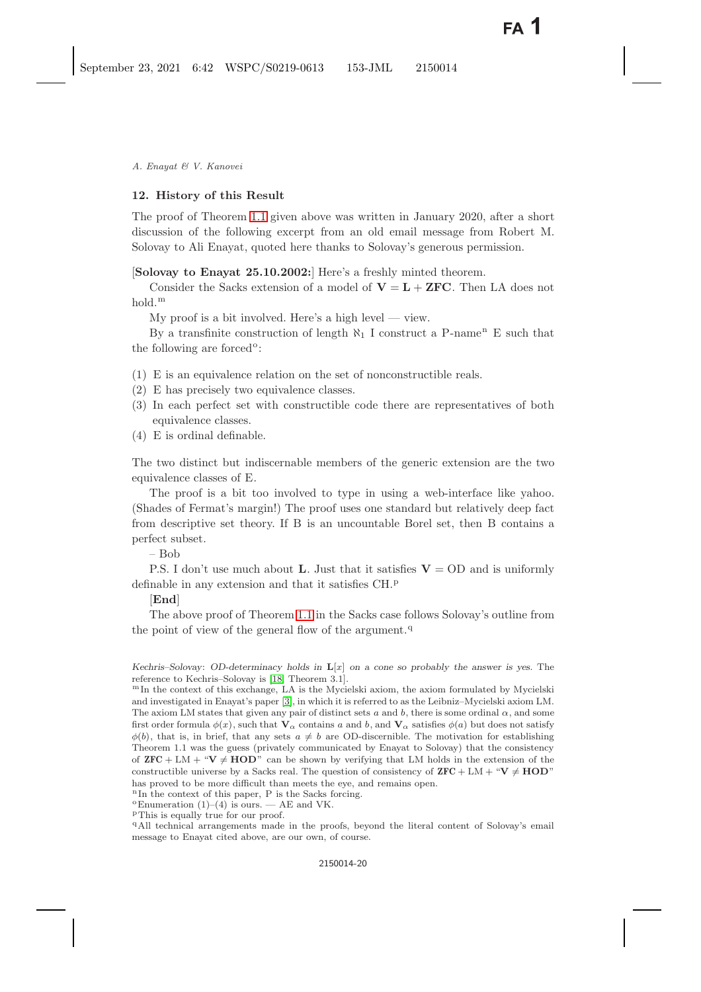# <span id="page-19-0"></span>**12. History of this Result**

The proof of Theorem [1.1](#page-1-0) given above was written in January 2020, after a short discussion of the following excerpt from an old email message from Robert M. Solovay to Ali Enayat, quoted here thanks to Solovay's generous permission.

[**Solovay to Enayat 25.10.2002:**] Here's a freshly minted theorem.

Consider the Sacks extension of a model of  $V = L + ZFC$ . Then LA does not hold.<sup>m</sup>

My proof is a bit involved. Here's a high level — view.

By a transfinite construction of length  $\aleph_1$  I construct a P-name<sup>n</sup> E such that the following are forced $\circ$ :

- (1) E is an equivalence relation on the set of nonconstructible reals.
- (2) E has precisely two equivalence classes.
- (3) In each perfect set with constructible code there are representatives of both equivalence classes.
- (4) E is ordinal definable.

The two distinct but indiscernable members of the generic extension are the two equivalence classes of E.

The proof is a bit too involved to type in using a web-interface like yahoo. (Shades of Fermat's margin!) The proof uses one standard but relatively deep fact from descriptive set theory. If B is an uncountable Borel set, then B contains a perfect subset.

– Bob

P.S. I don't use much about **L**. Just that it satisfies  $V = OD$  and is uniformly definable in any extension and that it satisfies CH.<sup>p</sup>

# [**End**]

The above proof of Theorem [1.1](#page-1-0) in the Sacks case follows Solovay's outline from the point of view of the general flow of the argument. $q$ 

<sup>q</sup>All technical arrangements made in the proofs, beyond the literal content of Solovay's email message to Enayat cited above, are our own, of course.

*Kechris–Solovay*: *OD-determinacy holds in* **L**[x] *on a cone so probably the answer is yes.* The reference to Kechris–Solovay is [\[18,](#page-21-21) Theorem 3.1].

 $mIn$  the context of this exchange, LA is the Mycielski axiom, the axiom formulated by Mycielski and investigated in Enayat's paper [\[3\]](#page-20-8), in which it is referred to as the Leibniz–Mycielski axiom LM. The axiom LM states that given any pair of distinct sets a and b, there is some ordinal  $\alpha$ , and some first order formula  $\phi(x)$ , such that  $\mathbf{V}_{\alpha}$  contains a and b, and  $\mathbf{V}_{\alpha}$  satisfies  $\phi(a)$  but does not satisfy  $\phi(b)$ , that is, in brief, that any sets  $a \neq b$  are OD-discernible. The motivation for establishing Theorem 1.1 was the guess (privately communicated by Enayat to Solovay) that the consistency of  $\mathbf{ZFC} + LM + \mathbf{W} \neq \mathbf{HOD}$ " can be shown by verifying that LM holds in the extension of the constructible universe by a Sacks real. The question of consistency of  $\mathbf{ZFC} + LM + "V \neq \mathbf{HOD}"$ has proved to be more difficult than meets the eye, and remains open.

 $nIn$  the context of this paper, P is the Sacks forcing.

 $^{\circ}$ Enumeration (1)–(4) is ours. — AE and VK.

<sup>p</sup>This is equally true for our proof.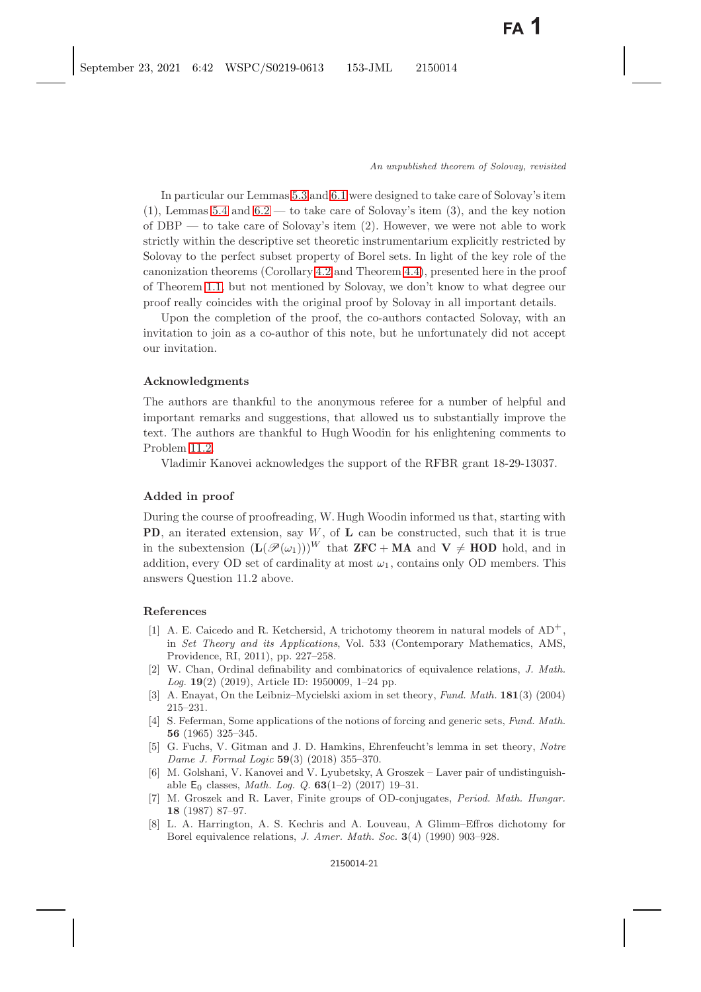In particular our Lemmas [5.3](#page-7-1) and [6.1](#page-8-3) were designed to take care of Solovay's item  $(1)$ , Lemmas [5.4](#page-8-2) and [6.2](#page-9-1) — to take care of Solovay's item  $(3)$ , and the key notion of DBP — to take care of Solovay's item (2). However, we were not able to work strictly within the descriptive set theoretic instrumentarium explicitly restricted by Solovay to the perfect subset property of Borel sets. In light of the key role of the canonization theorems (Corollary [4.2](#page-3-4) and Theorem [4.4\)](#page-4-0), presented here in the proof of Theorem [1.1,](#page-1-1) but not mentioned by Solovay, we don't know to what degree our proof really coincides with the original proof by Solovay in all important details.

Upon the completion of the proof, the co-authors contacted Solovay, with an invitation to join as a co-author of this note, but he unfortunately did not accept our invitation.

#### **Acknowledgments**

The authors are thankful to the anonymous referee for a number of helpful and important remarks and suggestions, that allowed us to substantially improve the text. The authors are thankful to Hugh Woodin for his enlightening comments to Problem [11.2.](#page-18-0)

Vladimir Kanovei acknowledges the support of the RFBR grant 18-29-13037.

# **Added in proof**

During the course of proofreading, W. Hugh Woodin informed us that, starting with **PD**, an iterated extension, say W, of **L** can be constructed, such that it is true in the subextension  $(L(\mathcal{P}(\omega_1)))^W$  that **ZFC** + **MA** and **V**  $\neq$  **HOD** hold, and in addition, every OD set of cardinality at most  $\omega_1$ , contains only OD members. This answers Question 11.2 above.

# <span id="page-20-6"></span><span id="page-20-0"></span>**References**

- [1] A. E. Caicedo and R. Ketchersid, A trichotomy theorem in natural models of AD+, in *Set Theory and its Applications*, Vol. 533 (Contemporary Mathematics, AMS, Providence, RI, 2011), pp. 227–258.
- <span id="page-20-9"></span>[2] W. Chan, Ordinal definability and combinatorics of equivalence relations, *J. Math. Log.* **19**(2) (2019), Article ID: 1950009, 1–24 pp.
- <span id="page-20-8"></span><span id="page-20-2"></span>[3] A. Enayat, On the Leibniz–Mycielski axiom in set theory, *Fund. Math.* **181**(3) (2004) 215–231.
- <span id="page-20-5"></span>[4] S. Feferman, Some applications of the notions of forcing and generic sets, *Fund. Math.* **56** (1965) 325–345.
- <span id="page-20-3"></span>[5] G. Fuchs, V. Gitman and J. D. Hamkins, Ehrenfeucht's lemma in set theory, *Notre Dame J. Formal Logic* **59**(3) (2018) 355–370.
- <span id="page-20-4"></span>[6] M. Golshani, V. Kanovei and V. Lyubetsky, A Groszek – Laver pair of undistinguishable E0 classes, *Math. Log. Q.* **63**(1–2) (2017) 19–31.
- <span id="page-20-1"></span>[7] M. Groszek and R. Laver, Finite groups of OD-conjugates, *Period. Math. Hungar.* **18** (1987) 87–97.
- <span id="page-20-7"></span>[8] L. A. Harrington, A. S. Kechris and A. Louveau, A Glimm–Effros dichotomy for Borel equivalence relations, *J. Amer. Math. Soc.* **3**(4) (1990) 903–928.